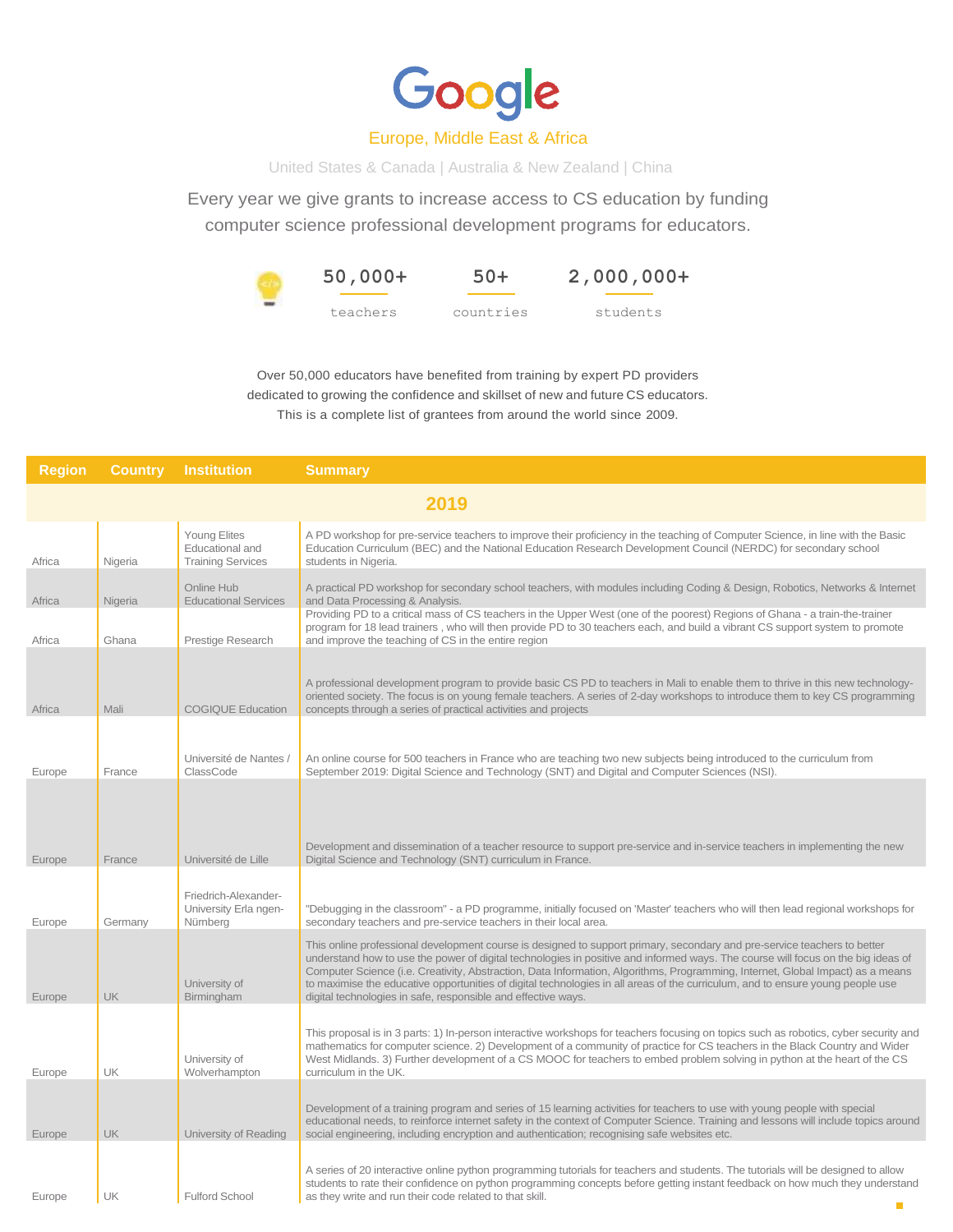

## Europe, Middle East & Africa

United States & Canada | Australia & New Zealand | China

Every year we give grants to increase access to CS education by funding computer science professional development programs for educators.

> **50,000+** teachers **50+** countries **2,000,000+** students

Over 50,000 educators have benefited from training by expert PD providers dedicated to growing the confidence and skillset of new and future CS educators. This is a complete list of grantees from around the world since 2009.

| <b>Region</b> | <b>Country</b> | <b>Institution</b>                                                 | <b>Summary</b>                                                                                                                                                                                                                                                                                                                                                                                                                                                                                                                                                                                    |
|---------------|----------------|--------------------------------------------------------------------|---------------------------------------------------------------------------------------------------------------------------------------------------------------------------------------------------------------------------------------------------------------------------------------------------------------------------------------------------------------------------------------------------------------------------------------------------------------------------------------------------------------------------------------------------------------------------------------------------|
|               |                |                                                                    | 2019                                                                                                                                                                                                                                                                                                                                                                                                                                                                                                                                                                                              |
| Africa        | Nigeria        | <b>Young Elites</b><br>Educational and<br><b>Training Services</b> | A PD workshop for pre-service teachers to improve their proficiency in the teaching of Computer Science, in line with the Basic<br>Education Curriculum (BEC) and the National Education Research Development Council (NERDC) for secondary school<br>students in Nigeria.                                                                                                                                                                                                                                                                                                                        |
| Africa        | Nigeria        | Online Hub<br><b>Educational Services</b>                          | A practical PD workshop for secondary school teachers, with modules including Coding & Design, Robotics, Networks & Internet<br>and Data Processing & Analysis.                                                                                                                                                                                                                                                                                                                                                                                                                                   |
| Africa        | Ghana          | Prestige Research                                                  | Providing PD to a critical mass of CS teachers in the Upper West (one of the poorest) Regions of Ghana - a train-the-trainer<br>program for 18 lead trainers, who will then provide PD to 30 teachers each, and build a vibrant CS support system to promote<br>and improve the teaching of CS in the entire region                                                                                                                                                                                                                                                                               |
| Africa        | Mali           | <b>COGIQUE Education</b>                                           | A professional development program to provide basic CS PD to teachers in Mali to enable them to thrive in this new technology-<br>oriented society. The focus is on young female teachers. A series of 2-day workshops to introduce them to key CS programming<br>concepts through a series of practical activities and projects                                                                                                                                                                                                                                                                  |
| Europe        | France         | Université de Nantes /<br>ClassCode                                | An online course for 500 teachers in France who are teaching two new subjects being introduced to the curriculum from<br>September 2019: Digital Science and Technology (SNT) and Digital and Computer Sciences (NSI).                                                                                                                                                                                                                                                                                                                                                                            |
| Europe        | France         | Université de Lille                                                | Development and dissemination of a teacher resource to support pre-service and in-service teachers in implementing the new<br>Digital Science and Technology (SNT) curriculum in France.                                                                                                                                                                                                                                                                                                                                                                                                          |
| Europe        | Germany        | Friedrich-Alexander-<br>University Erla ngen-<br>Nürnberg          | "Debugging in the classroom" - a PD programme, initially focused on 'Master' teachers who will then lead regional workshops for<br>secondary teachers and pre-service teachers in their local area.                                                                                                                                                                                                                                                                                                                                                                                               |
| Europe        | <b>UK</b>      | University of<br>Birmingham                                        | This online professional development course is designed to support primary, secondary and pre-service teachers to better<br>understand how to use the power of digital technologies in positive and informed ways. The course will focus on the big ideas of<br>Computer Science (i.e. Creativity, Abstraction, Data Information, Algorithms, Programming, Internet, Global Impact) as a means<br>to maximise the educative opportunities of digital technologies in all areas of the curriculum, and to ensure young people use<br>digital technologies in safe, responsible and effective ways. |
| Europe        | <b>UK</b>      | University of<br>Wolverhampton                                     | This proposal is in 3 parts: 1) In-person interactive workshops for teachers focusing on topics such as robotics, cyber security and<br>mathematics for computer science. 2) Development of a community of practice for CS teachers in the Black Country and Wider<br>West Midlands. 3) Further development of a CS MOOC for teachers to embed problem solving in python at the heart of the CS<br>curriculum in the UK.                                                                                                                                                                          |
| Europe        | <b>UK</b>      | University of Reading                                              | Development of a training program and series of 15 learning activities for teachers to use with young people with special<br>educational needs, to reinforce internet safety in the context of Computer Science. Training and lessons will include topics around<br>social engineering, including encryption and authentication; recognising safe websites etc.                                                                                                                                                                                                                                   |
| Europe        | UK             | <b>Fulford School</b>                                              | A series of 20 interactive online python programming tutorials for teachers and students. The tutorials will be designed to allow<br>students to rate their confidence on python programming concepts before getting instant feedback on how much they understand<br>as they write and run their code related to that skill.                                                                                                                                                                                                                                                                      |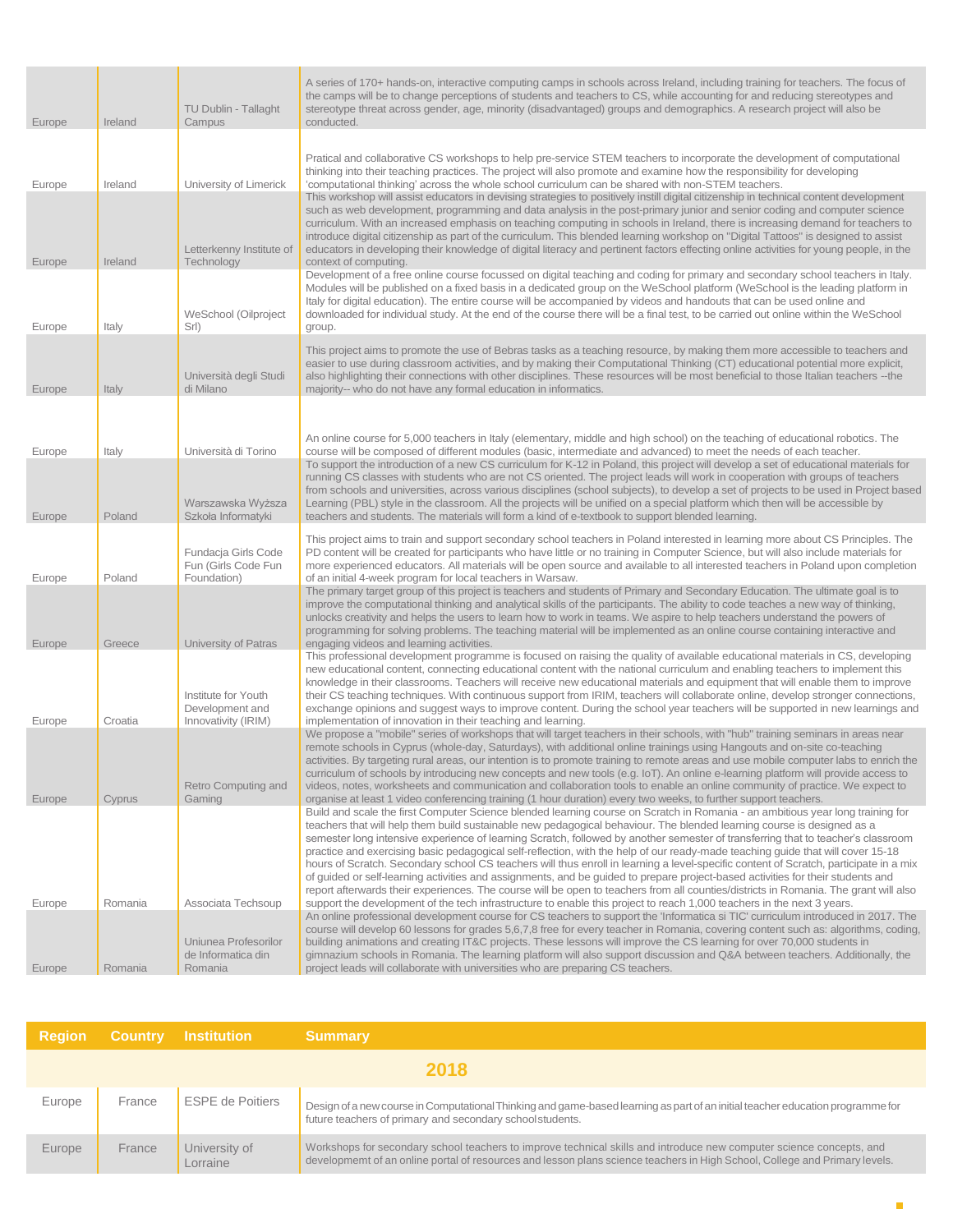| Europe | Ireland | TU Dublin - Tallaght<br>Campus                            | A series of 170+ hands-on, interactive computing camps in schools across Ireland, including training for teachers. The focus of<br>the camps will be to change perceptions of students and teachers to CS, while accounting for and reducing stereotypes and<br>stereotype threat across gender, age, minority (disadvantaged) groups and demographics. A research project will also be<br>conducted.                                                                                                                                                                                                                                                                                                                                                                                                                                                                                                                                                                                                                                                         |
|--------|---------|-----------------------------------------------------------|---------------------------------------------------------------------------------------------------------------------------------------------------------------------------------------------------------------------------------------------------------------------------------------------------------------------------------------------------------------------------------------------------------------------------------------------------------------------------------------------------------------------------------------------------------------------------------------------------------------------------------------------------------------------------------------------------------------------------------------------------------------------------------------------------------------------------------------------------------------------------------------------------------------------------------------------------------------------------------------------------------------------------------------------------------------|
|        |         |                                                           |                                                                                                                                                                                                                                                                                                                                                                                                                                                                                                                                                                                                                                                                                                                                                                                                                                                                                                                                                                                                                                                               |
| Europe | Ireland | University of Limerick                                    | Pratical and collaborative CS workshops to help pre-service STEM teachers to incorporate the development of computational<br>thinking into their teaching practices. The project will also promote and examine how the responsibility for developing<br>'computational thinking' across the whole school curriculum can be shared with non-STEM teachers.                                                                                                                                                                                                                                                                                                                                                                                                                                                                                                                                                                                                                                                                                                     |
| Europe | Ireland | Letterkenny Institute of<br>Technology                    | This workshop will assist educators in devising strategies to positively instill digital citizenship in technical content development<br>such as web development, programming and data analysis in the post-primary junior and senior coding and computer science<br>curriculum. With an increased emphasis on teaching computing in schools in Ireland, there is increasing demand for teachers to<br>introduce digital citizenship as part of the curriculum. This blended learning workshop on "Digital Tattoos" is designed to assist<br>educators in developing their knowledge of digital literacy and pertinent factors effecting online activities for young people, in the<br>context of computing.                                                                                                                                                                                                                                                                                                                                                  |
|        |         |                                                           | Development of a free online course focussed on digital teaching and coding for primary and secondary school teachers in Italy.<br>Modules will be published on a fixed basis in a dedicated group on the WeSchool platform (WeSchool is the leading platform in                                                                                                                                                                                                                                                                                                                                                                                                                                                                                                                                                                                                                                                                                                                                                                                              |
| Europe | Italy   | WeSchool (Oilproject<br>Srl)                              | Italy for digital education). The entire course will be accompanied by videos and handouts that can be used online and<br>downloaded for individual study. At the end of the course there will be a final test, to be carried out online within the WeSchool<br>group.                                                                                                                                                                                                                                                                                                                                                                                                                                                                                                                                                                                                                                                                                                                                                                                        |
| Europe | Italy   | Università degli Studi<br>di Milano                       | This project aims to promote the use of Bebras tasks as a teaching resource, by making them more accessible to teachers and<br>easier to use during classroom activities, and by making their Computational Thinking (CT) educational potential more explicit,<br>also highlighting their connections with other disciplines. These resources will be most beneficial to those Italian teachers -- the<br>majority-- who do not have any formal education in informatics.                                                                                                                                                                                                                                                                                                                                                                                                                                                                                                                                                                                     |
|        |         |                                                           |                                                                                                                                                                                                                                                                                                                                                                                                                                                                                                                                                                                                                                                                                                                                                                                                                                                                                                                                                                                                                                                               |
|        |         |                                                           | An online course for 5,000 teachers in Italy (elementary, middle and high school) on the teaching of educational robotics. The                                                                                                                                                                                                                                                                                                                                                                                                                                                                                                                                                                                                                                                                                                                                                                                                                                                                                                                                |
| Europe | Italy   | Università di Torino                                      | course will be composed of different modules (basic, intermediate and advanced) to meet the needs of each teacher.<br>To support the introduction of a new CS curriculum for K-12 in Poland, this project will develop a set of educational materials for                                                                                                                                                                                                                                                                                                                                                                                                                                                                                                                                                                                                                                                                                                                                                                                                     |
| Europe | Poland  | Warszawska Wyższa<br>Szkoła Informatyki                   | running CS classes with students who are not CS oriented. The project leads will work in cooperation with groups of teachers<br>from schools and universities, across various disciplines (school subjects), to develop a set of projects to be used in Project based<br>Learning (PBL) style in the classroom. All the projects will be unified on a special platform which then will be accessible by<br>teachers and students. The materials will form a kind of e-textbook to support blended learning.                                                                                                                                                                                                                                                                                                                                                                                                                                                                                                                                                   |
| Europe | Poland  | Fundacja Girls Code<br>Fun (Girls Code Fun<br>Foundation) | This project aims to train and support secondary school teachers in Poland interested in learning more about CS Principles. The<br>PD content will be created for participants who have little or no training in Computer Science, but will also include materials for<br>more experienced educators. All materials will be open source and available to all interested teachers in Poland upon completion<br>of an initial 4-week program for local teachers in Warsaw.                                                                                                                                                                                                                                                                                                                                                                                                                                                                                                                                                                                      |
|        |         |                                                           | The primary target group of this project is teachers and students of Primary and Secondary Education. The ultimate goal is to<br>improve the computational thinking and analytical skills of the participants. The ability to code teaches a new way of thinking,<br>unlocks creativity and helps the users to learn how to work in teams. We aspire to help teachers understand the powers of<br>programming for solving problems. The teaching material will be implemented as an online course containing interactive and                                                                                                                                                                                                                                                                                                                                                                                                                                                                                                                                  |
| Europe | Greece  | University of Patras                                      | engaging videos and learning activities.<br>This professional development programme is focused on raising the quality of available educational materials in CS, developing                                                                                                                                                                                                                                                                                                                                                                                                                                                                                                                                                                                                                                                                                                                                                                                                                                                                                    |
|        |         | Institute for Youth                                       | new educational content, connecting educational content with the national curriculum and enabling teachers to implement this<br>knowledge in their classrooms. Teachers will receive new educational materials and equipment that will enable them to improve<br>their CS teaching techniques. With continuous support from IRIM, teachers will collaborate online, develop stronger connections,                                                                                                                                                                                                                                                                                                                                                                                                                                                                                                                                                                                                                                                             |
| Europe | Croatia | Development and<br>Innovativity (IRIM)                    | exchange opinions and suggest ways to improve content. During the school year teachers will be supported in new learnings and<br>implementation of innovation in their teaching and learning.                                                                                                                                                                                                                                                                                                                                                                                                                                                                                                                                                                                                                                                                                                                                                                                                                                                                 |
|        |         |                                                           | We propose a "mobile" series of workshops that will target teachers in their schools, with "hub" training seminars in areas near<br>remote schools in Cyprus (whole-day, Saturdays), with additional online trainings using Hangouts and on-site co-teaching<br>activities. By targeting rural areas, our intention is to promote training to remote areas and use mobile computer labs to enrich the<br>curriculum of schools by introducing new concepts and new tools (e.g. IoT). An online e-learning platform will provide access to                                                                                                                                                                                                                                                                                                                                                                                                                                                                                                                     |
| Europe | Cyprus  | Retro Computing and<br>Gaming                             | videos, notes, worksheets and communication and collaboration tools to enable an online community of practice. We expect to<br>organise at least 1 video conferencing training (1 hour duration) every two weeks, to further support teachers.<br>Build and scale the first Computer Science blended learning course on Scratch in Romania - an ambitious year long training for<br>teachers that will help them build sustainable new pedagogical behaviour. The blended learning course is designed as a<br>semester long intensive experience of learning Scratch, followed by another semester of transferring that to teacher's classroom<br>practice and exercising basic pedagogical self-reflection, with the help of our ready-made teaching guide that will cover 15-18<br>hours of Scratch. Secondary school CS teachers will thus enroll in learning a level-specific content of Scratch, participate in a mix<br>of guided or self-learning activities and assignments, and be guided to prepare project-based activities for their students and |
| Europe | Romania | Associata Techsoup<br>Uniunea Profesorilor                | report afterwards their experiences. The course will be open to teachers from all counties/districts in Romania. The grant will also<br>support the development of the tech infrastructure to enable this project to reach 1,000 teachers in the next 3 years.<br>An online professional development course for CS teachers to support the 'Informatica si TIC' curriculum introduced in 2017. The<br>course will develop 60 lessons for grades 5,6,7,8 free for every teacher in Romania, covering content such as: algorithms, coding,<br>building animations and creating IT&C projects. These lessons will improve the CS learning for over 70,000 students in                                                                                                                                                                                                                                                                                                                                                                                            |
| Europe | Romania | de Informatica din<br>Romania                             | gimnazium schools in Romania. The learning platform will also support discussion and Q&A between teachers. Additionally, the<br>project leads will collaborate with universities who are preparing CS teachers.                                                                                                                                                                                                                                                                                                                                                                                                                                                                                                                                                                                                                                                                                                                                                                                                                                               |

| <b>Region</b> |        | <b>Country Institution</b> | <b>Summary</b>                                                                                                                                                                                                                                     |
|---------------|--------|----------------------------|----------------------------------------------------------------------------------------------------------------------------------------------------------------------------------------------------------------------------------------------------|
|               |        |                            | 2018                                                                                                                                                                                                                                               |
| Europe        | France | <b>ESPE de Poitiers</b>    | Design of a new course in Computational Thinking and game-based learning as part of an initial teacher education programme for<br>future teachers of primary and secondary school students.                                                        |
| Europe        | France | University of<br>Lorraine  | Workshops for secondary school teachers to improve technical skills and introduce new computer science concepts, and<br>developmemt of an online portal of resources and lesson plans science teachers in High School, College and Primary levels. |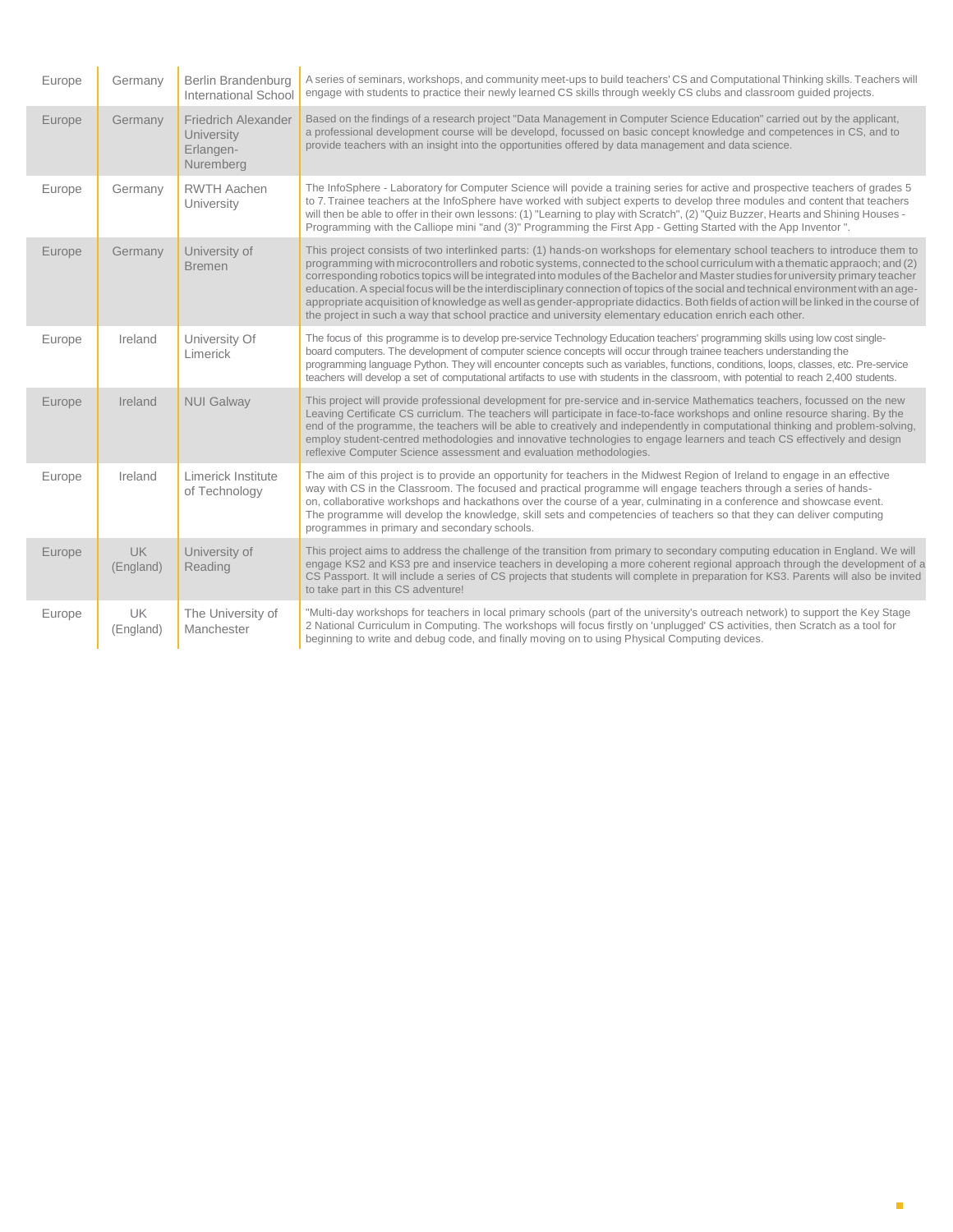| Europe | Germany                | Berlin Brandenburg<br>International School                         | A series of seminars, workshops, and community meet-ups to build teachers' CS and Computational Thinking skills. Teachers will<br>engage with students to practice their newly learned CS skills through weekly CS clubs and classroom guided projects.                                                                                                                                                                                                                                                                                                                                                                                                                                                                                                                            |
|--------|------------------------|--------------------------------------------------------------------|------------------------------------------------------------------------------------------------------------------------------------------------------------------------------------------------------------------------------------------------------------------------------------------------------------------------------------------------------------------------------------------------------------------------------------------------------------------------------------------------------------------------------------------------------------------------------------------------------------------------------------------------------------------------------------------------------------------------------------------------------------------------------------|
| Europe | Germany                | <b>Friedrich Alexander</b><br>University<br>Erlangen-<br>Nuremberg | Based on the findings of a research project "Data Management in Computer Science Education" carried out by the applicant,<br>a professional development course will be developd, focussed on basic concept knowledge and competences in CS, and to<br>provide teachers with an insight into the opportunities offered by data management and data science.                                                                                                                                                                                                                                                                                                                                                                                                                         |
| Europe | Germany                | <b>RWTH Aachen</b><br>University                                   | The InfoSphere - Laboratory for Computer Science will povide a training series for active and prospective teachers of grades 5<br>to 7. Trainee teachers at the InfoSphere have worked with subject experts to develop three modules and content that teachers<br>will then be able to offer in their own lessons: (1) "Learning to play with Scratch", (2) "Quiz Buzzer, Hearts and Shining Houses -<br>Programming with the Calliope mini "and (3)" Programming the First App - Getting Started with the App Inventor ".                                                                                                                                                                                                                                                         |
| Europe | Germany                | University of<br><b>Bremen</b>                                     | This project consists of two interlinked parts: (1) hands-on workshops for elementary school teachers to introduce them to<br>programming with microcontrollers and robotic systems, connected to the school curriculum with a thematic appraoch; and (2)<br>corresponding robotics topics will be integrated into modules of the Bachelor and Master studies for university primary teacher<br>education. A special focus will be the interdisciplinary connection of topics of the social and technical environment with an age-<br>appropriate acquisition of knowledge as well as gender-appropriate didactics. Both fields of action will be linked in the course of<br>the project in such a way that school practice and university elementary education enrich each other. |
| Europe | Ireland                | University Of<br>Limerick                                          | The focus of this programme is to develop pre-service Technology Education teachers' programming skills using low cost single-<br>board computers. The development of computer science concepts will occur through trainee teachers understanding the<br>programming language Python. They will encounter concepts such as variables, functions, conditions, loops, classes, etc. Pre-service<br>teachers will develop a set of computational artifacts to use with students in the classroom, with potential to reach 2,400 students.                                                                                                                                                                                                                                             |
| Europe | Ireland                | <b>NUI Galway</b>                                                  | This project will provide professional development for pre-service and in-service Mathematics teachers, focussed on the new<br>Leaving Certificate CS curriclum. The teachers will participate in face-to-face workshops and online resource sharing. By the<br>end of the programme, the teachers will be able to creatively and independently in computational thinking and problem-solving,<br>employ student-centred methodologies and innovative technologies to engage learners and teach CS effectively and design<br>reflexive Computer Science assessment and evaluation methodologies.                                                                                                                                                                                   |
| Europe | Ireland                | Limerick Institute<br>of Technology                                | The aim of this project is to provide an opportunity for teachers in the Midwest Region of Ireland to engage in an effective<br>way with CS in the Classroom. The focused and practical programme will engage teachers through a series of hands-<br>on, collaborative workshops and hackathons over the course of a year, culminating in a conference and showcase event.<br>The programme will develop the knowledge, skill sets and competencies of teachers so that they can deliver computing<br>programmes in primary and secondary schools.                                                                                                                                                                                                                                 |
| Europe | <b>UK</b><br>(England) | University of<br>Reading                                           | This project aims to address the challenge of the transition from primary to secondary computing education in England. We will<br>engage KS2 and KS3 pre and inservice teachers in developing a more coherent regional approach through the development of a<br>CS Passport. It will include a series of CS projects that students will complete in preparation for KS3. Parents will also be invited<br>to take part in this CS adventure!                                                                                                                                                                                                                                                                                                                                        |
| Europe | <b>UK</b><br>(England) | The University of<br>Manchester                                    | "Multi-day workshops for teachers in local primary schools (part of the university's outreach network) to support the Key Stage<br>2 National Curriculum in Computing. The workshops will focus firstly on 'unplugged' CS activities, then Scratch as a tool for<br>beginning to write and debug code, and finally moving on to using Physical Computing devices.                                                                                                                                                                                                                                                                                                                                                                                                                  |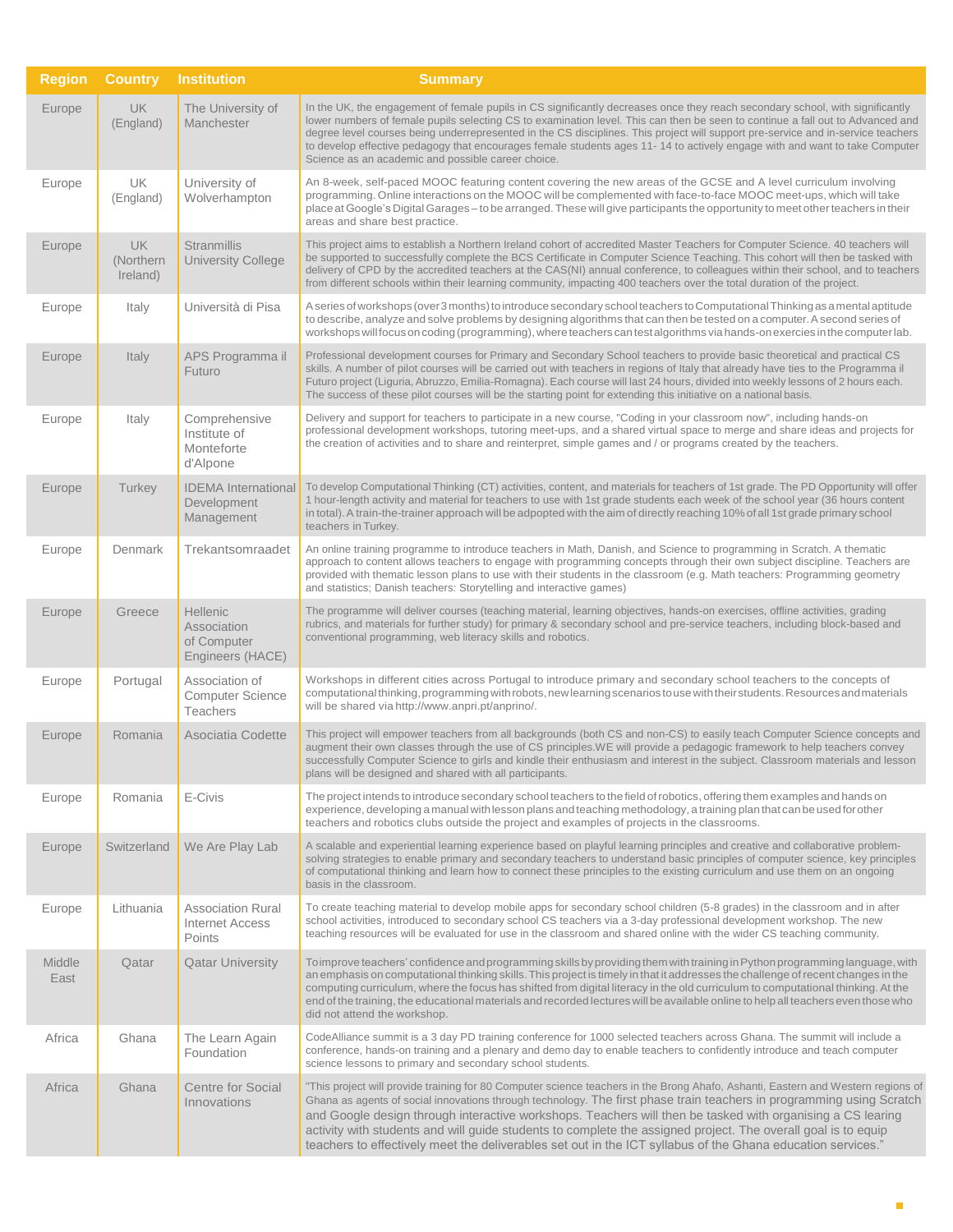| <b>Region</b>  | <b>Country</b>                     | <b>Institution</b>                                                | <b>Summary</b>                                                                                                                                                                                                                                                                                                                                                                                                                                                                                                                                                                                          |
|----------------|------------------------------------|-------------------------------------------------------------------|---------------------------------------------------------------------------------------------------------------------------------------------------------------------------------------------------------------------------------------------------------------------------------------------------------------------------------------------------------------------------------------------------------------------------------------------------------------------------------------------------------------------------------------------------------------------------------------------------------|
| Europe         | UK<br>(England)                    | The University of<br>Manchester                                   | In the UK, the engagement of female pupils in CS significantly decreases once they reach secondary school, with significantly<br>lower numbers of female pupils selecting CS to examination level. This can then be seen to continue a fall out to Advanced and<br>degree level courses being underrepresented in the CS disciplines. This project will support pre-service and in-service teachers<br>to develop effective pedagogy that encourages female students ages 11-14 to actively engage with and want to take Computer<br>Science as an academic and possible career choice.                 |
| Europe         | UK<br>(England)                    | University of<br>Wolverhampton                                    | An 8-week, self-paced MOOC featuring content covering the new areas of the GCSE and A level curriculum involving<br>programming. Online interactions on the MOOC will be complemented with face-to-face MOOC meet-ups, which will take<br>place at Google's Digital Garages - to be arranged. These will give participants the opportunity to meet other teachers in their<br>areas and share best practice.                                                                                                                                                                                            |
| Europe         | <b>UK</b><br>(Northern<br>Ireland) | <b>Stranmillis</b><br><b>University College</b>                   | This project aims to establish a Northern Ireland cohort of accredited Master Teachers for Computer Science. 40 teachers will<br>be supported to successfully complete the BCS Certificate in Computer Science Teaching. This cohort will then be tasked with<br>delivery of CPD by the accredited teachers at the CAS(NI) annual conference, to colleagues within their school, and to teachers<br>from different schools within their learning community, impacting 400 teachers over the total duration of the project.                                                                              |
| Europe         | Italy                              | Università di Pisa                                                | A series of workshops (over 3 months) to introduce secondary school teachers to Computational Thinking as a mental aptitude<br>to describe, analyze and solve problems by designing algorithms that can then be tested on a computer. A second series of<br>workshops will focus on coding (programming), where teachers can test algorithms via hands-on exercies in the computer lab.                                                                                                                                                                                                                 |
| Europe         | Italy                              | APS Programma il<br>Futuro                                        | Professional development courses for Primary and Secondary School teachers to provide basic theoretical and practical CS<br>skills. A number of pilot courses will be carried out with teachers in regions of Italy that already have ties to the Programma il<br>Futuro project (Liguria, Abruzzo, Emilia-Romagna). Each course will last 24 hours, divided into weekly lessons of 2 hours each.<br>The success of these pilot courses will be the starting point for extending this initiative on a national basis.                                                                                   |
| Europe         | Italy                              | Comprehensive<br>Institute of<br>Monteforte<br>d'Alpone           | Delivery and support for teachers to participate in a new course, "Coding in your classroom now", including hands-on<br>professional development workshops, tutoring meet-ups, and a shared virtual space to merge and share ideas and projects for<br>the creation of activities and to share and reinterpret, simple games and / or programs created by the teachers.                                                                                                                                                                                                                                 |
| Europe         | Turkey                             | <b>IDEMA</b> International<br>Development<br>Management           | To develop Computational Thinking (CT) activities, content, and materials for teachers of 1st grade. The PD Opportunity will offer<br>1 hour-length activity and material for teachers to use with 1st grade students each week of the school year (36 hours content<br>in total). A train-the-trainer approach will be adpopted with the aim of directly reaching 10% of all 1st grade primary school<br>teachers in Turkey.                                                                                                                                                                           |
| Europe         | Denmark                            | Trekantsomraadet                                                  | An online training programme to introduce teachers in Math, Danish, and Science to programming in Scratch. A thematic<br>approach to content allows teachers to engage with programming concepts through their own subject discipline. Teachers are<br>provided with thematic lesson plans to use with their students in the classroom (e.g. Math teachers: Programming geometry<br>and statistics; Danish teachers: Storytelling and interactive games)                                                                                                                                                |
| Europe         | Greece                             | <b>Hellenic</b><br>Association<br>of Computer<br>Engineers (HACE) | The programme will deliver courses (teaching material, learning objectives, hands-on exercises, offline activities, grading<br>rubrics, and materials for further study) for primary & secondary school and pre-service teachers, including block-based and<br>conventional programming, web literacy skills and robotics.                                                                                                                                                                                                                                                                              |
| Europe         | Portugal                           | Association of<br><b>Computer Science</b><br><b>Teachers</b>      | Workshops in different cities across Portugal to introduce primary and secondary school teachers to the concepts of<br>computational thinking, programming with robots, new learning scenarios to use with their students. Resources and materials<br>will be shared via http://www.anpri.pt/anprino/.                                                                                                                                                                                                                                                                                                  |
| Europe         | Romania                            | Asociatia Codette                                                 | This project will empower teachers from all backgrounds (both CS and non-CS) to easily teach Computer Science concepts and<br>augment their own classes through the use of CS principles.WE will provide a pedagogic framework to help teachers convey<br>successfully Computer Science to girls and kindle their enthusiasm and interest in the subject. Classroom materials and lesson<br>plans will be designed and shared with all participants.                                                                                                                                                    |
| Europe         | Romania                            | E-Civis                                                           | The project intends to introduce secondary school teachers to the field of robotics, offering them examples and hands on<br>experience, developing a manual with lesson plans and teaching methodology, a training plan that can be used for other<br>teachers and robotics clubs outside the project and examples of projects in the classrooms.                                                                                                                                                                                                                                                       |
| Europe         | Switzerland                        | We Are Play Lab                                                   | A scalable and experiential learning experience based on playful learning principles and creative and collaborative problem-<br>solving strategies to enable primary and secondary teachers to understand basic principles of computer science, key principles<br>of computational thinking and learn how to connect these principles to the existing curriculum and use them on an ongoing<br>basis in the classroom.                                                                                                                                                                                  |
| Europe         | Lithuania                          | <b>Association Rural</b><br><b>Internet Access</b><br>Points      | To create teaching material to develop mobile apps for secondary school children (5-8 grades) in the classroom and in after<br>school activities, introduced to secondary school CS teachers via a 3-day professional development workshop. The new<br>teaching resources will be evaluated for use in the classroom and shared online with the wider CS teaching community.                                                                                                                                                                                                                            |
| Middle<br>East | Qatar                              | <b>Qatar University</b>                                           | To improve teachers' confidence and programming skills by providing them with training in Python programming language, with<br>an emphasis on computational thinking skills. This project is timely in that it addresses the challenge of recent changes in the<br>computing curriculum, where the focus has shifted from digital literacy in the old curriculum to computational thinking. At the<br>end of the training, the educational materials and recorded lectures will be available online to help all teachers even those who<br>did not attend the workshop.                                 |
| Africa         | Ghana                              | The Learn Again<br>Foundation                                     | CodeAlliance summit is a 3 day PD training conference for 1000 selected teachers across Ghana. The summit will include a<br>conference, hands-on training and a plenary and demo day to enable teachers to confidently introduce and teach computer<br>science lessons to primary and secondary school students.                                                                                                                                                                                                                                                                                        |
| Africa         | Ghana                              | <b>Centre for Social</b><br>Innovations                           | "This project will provide training for 80 Computer science teachers in the Brong Ahafo, Ashanti, Eastern and Western regions of<br>Ghana as agents of social innovations through technology. The first phase train teachers in programming using Scratch<br>and Google design through interactive workshops. Teachers will then be tasked with organising a CS learing<br>activity with students and will guide students to complete the assigned project. The overall goal is to equip<br>teachers to effectively meet the deliverables set out in the ICT syllabus of the Ghana education services." |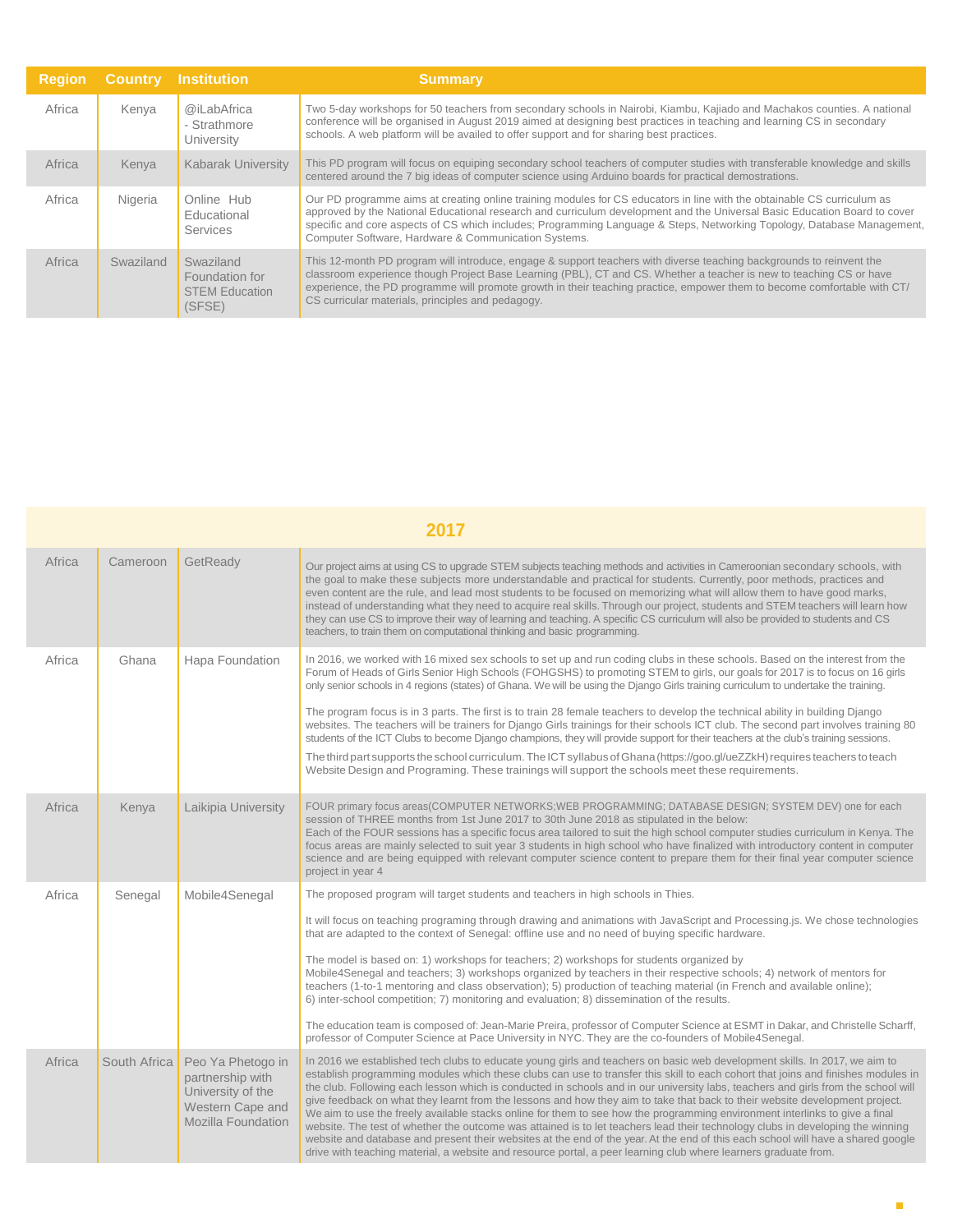| <b>Region</b> |           | <b>Country Institution</b>                                     | <b>Summary</b>                                                                                                                                                                                                                                                                                                                                                                                                                          |
|---------------|-----------|----------------------------------------------------------------|-----------------------------------------------------------------------------------------------------------------------------------------------------------------------------------------------------------------------------------------------------------------------------------------------------------------------------------------------------------------------------------------------------------------------------------------|
| Africa        | Kenya     | @iLabAfrica<br>- Strathmore<br>University                      | Two 5-day workshops for 50 teachers from secondary schools in Nairobi, Kiambu, Kajiado and Machakos counties. A national<br>conference will be organised in August 2019 aimed at designing best practices in teaching and learning CS in secondary<br>schools. A web platform will be availed to offer support and for sharing best practices.                                                                                          |
| Africa        | Kenya     | <b>Kabarak University</b>                                      | This PD program will focus on equiping secondary school teachers of computer studies with transferable knowledge and skills<br>centered around the 7 big ideas of computer science using Arduino boards for practical demostrations.                                                                                                                                                                                                    |
| Africa        | Nigeria   | Online Hub<br>Educational<br>Services                          | Our PD programme aims at creating online training modules for CS educators in line with the obtainable CS curriculum as<br>approved by the National Educational research and curriculum development and the Universal Basic Education Board to cover<br>specific and core aspects of CS which includes; Programming Language & Steps, Networking Topology, Database Management,<br>Computer Software, Hardware & Communication Systems. |
| Africa        | Swaziland | Swaziland<br>Foundation for<br><b>STEM Education</b><br>(SFSE) | This 12-month PD program will introduce, engage & support teachers with diverse teaching backgrounds to reinvent the<br>classroom experience though Project Base Learning (PBL), CT and CS. Whether a teacher is new to teaching CS or have<br>experience, the PD programme will promote growth in their teaching practice, empower them to become comfortable with CT/<br>CS curricular materials, principles and pedagogy.            |

|        | 2017         |                                                                                                      |                                                                                                                                                                                                                                                                                                                                                                                                                                                                                                                                                                                                                                                                                                                                                                                                                                                                                                                                                                                                                                                           |  |
|--------|--------------|------------------------------------------------------------------------------------------------------|-----------------------------------------------------------------------------------------------------------------------------------------------------------------------------------------------------------------------------------------------------------------------------------------------------------------------------------------------------------------------------------------------------------------------------------------------------------------------------------------------------------------------------------------------------------------------------------------------------------------------------------------------------------------------------------------------------------------------------------------------------------------------------------------------------------------------------------------------------------------------------------------------------------------------------------------------------------------------------------------------------------------------------------------------------------|--|
| Africa | Cameroon     | GetReady                                                                                             | Our project aims at using CS to upgrade STEM subjects teaching methods and activities in Cameroonian secondary schools, with<br>the goal to make these subjects more understandable and practical for students. Currently, poor methods, practices and<br>even content are the rule, and lead most students to be focused on memorizing what will allow them to have good marks,<br>instead of understanding what they need to acquire real skills. Through our project, students and STEM teachers will learn how<br>they can use CS to improve their way of learning and teaching. A specific CS curriculum will also be provided to students and CS<br>teachers, to train them on computational thinking and basic programming.                                                                                                                                                                                                                                                                                                                        |  |
| Africa | Ghana        | Hapa Foundation                                                                                      | In 2016, we worked with 16 mixed sex schools to set up and run coding clubs in these schools. Based on the interest from the<br>Forum of Heads of Girls Senior High Schools (FOHGSHS) to promoting STEM to girls, our goals for 2017 is to focus on 16 girls<br>only senior schools in 4 regions (states) of Ghana. We will be using the Django Girls training curriculum to undertake the training.<br>The program focus is in 3 parts. The first is to train 28 female teachers to develop the technical ability in building Django<br>websites. The teachers will be trainers for Django Girls trainings for their schools ICT club. The second part involves training 80<br>students of the ICT Clubs to become Django champions, they will provide support for their teachers at the club's training sessions.<br>The third part supports the school curriculum. The ICT syllabus of Ghana (https://goo.gl/ueZZkH) requires teachers to teach<br>Website Design and Programing. These trainings will support the schools meet these requirements.    |  |
| Africa | Kenya        | Laikipia University                                                                                  | FOUR primary focus areas(COMPUTER NETWORKS;WEB PROGRAMMING; DATABASE DESIGN; SYSTEM DEV) one for each<br>session of THREE months from 1st June 2017 to 30th June 2018 as stipulated in the below:<br>Each of the FOUR sessions has a specific focus area tailored to suit the high school computer studies curriculum in Kenya. The<br>focus areas are mainly selected to suit year 3 students in high school who have finalized with introductory content in computer<br>science and are being equipped with relevant computer science content to prepare them for their final year computer science<br>project in year 4                                                                                                                                                                                                                                                                                                                                                                                                                                |  |
| Africa | Senegal      | Mobile4Senegal                                                                                       | The proposed program will target students and teachers in high schools in Thies.<br>It will focus on teaching programing through drawing and animations with JavaScript and Processing.js. We chose technologies<br>that are adapted to the context of Senegal: offline use and no need of buying specific hardware.<br>The model is based on: 1) workshops for teachers; 2) workshops for students organized by<br>Mobile4Senegal and teachers; 3) workshops organized by teachers in their respective schools; 4) network of mentors for<br>teachers (1-to-1 mentoring and class observation); 5) production of teaching material (in French and available online);<br>6) inter-school competition; 7) monitoring and evaluation; 8) dissemination of the results.<br>The education team is composed of: Jean-Marie Preira, professor of Computer Science at ESMT in Dakar, and Christelle Scharff,<br>professor of Computer Science at Pace University in NYC. They are the co-founders of Mobile4Senegal.                                             |  |
| Africa | South Africa | Peo Ya Phetogo in<br>partnership with<br>University of the<br>Western Cape and<br>Mozilla Foundation | In 2016 we established tech clubs to educate young girls and teachers on basic web development skills. In 2017, we aim to<br>establish programming modules which these clubs can use to transfer this skill to each cohort that joins and finishes modules in<br>the club. Following each lesson which is conducted in schools and in our university labs, teachers and girls from the school will<br>give feedback on what they learnt from the lessons and how they aim to take that back to their website development project.<br>We aim to use the freely available stacks online for them to see how the programming environment interlinks to give a final<br>website. The test of whether the outcome was attained is to let teachers lead their technology clubs in developing the winning<br>website and database and present their websites at the end of the year. At the end of this each school will have a shared google<br>drive with teaching material, a website and resource portal, a peer learning club where learners graduate from. |  |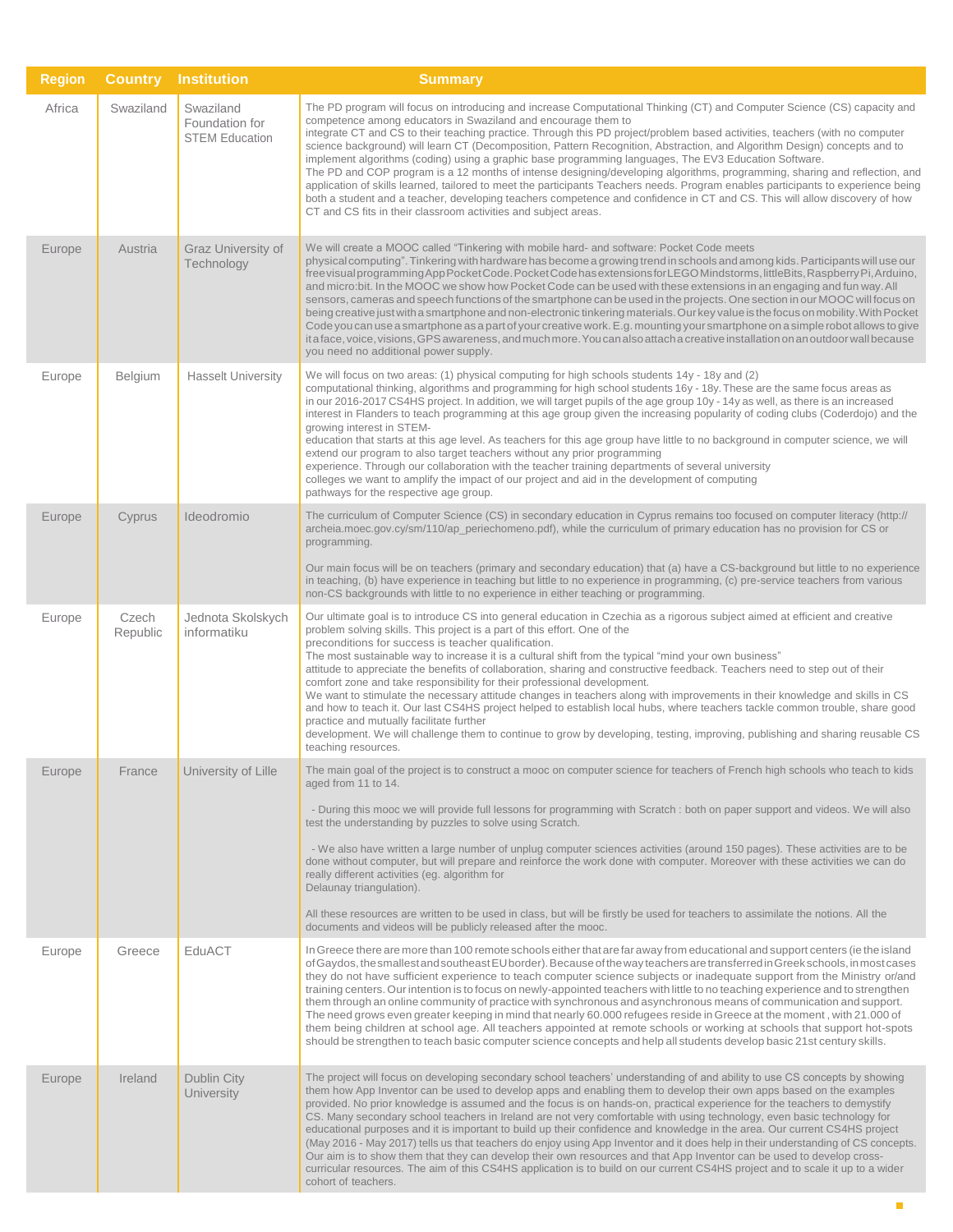| <b>Region</b> | <b>Country</b>    | <b>Institution</b>                                   | <b>Summary</b>                                                                                                                                                                                                                                                                                                                                                                                                                                                                                                                                                                                                                                                                                                                                                                                                                                                                                                                                                                                                                                                  |
|---------------|-------------------|------------------------------------------------------|-----------------------------------------------------------------------------------------------------------------------------------------------------------------------------------------------------------------------------------------------------------------------------------------------------------------------------------------------------------------------------------------------------------------------------------------------------------------------------------------------------------------------------------------------------------------------------------------------------------------------------------------------------------------------------------------------------------------------------------------------------------------------------------------------------------------------------------------------------------------------------------------------------------------------------------------------------------------------------------------------------------------------------------------------------------------|
| Africa        | Swaziland         | Swaziland<br>Foundation for<br><b>STEM Education</b> | The PD program will focus on introducing and increase Computational Thinking (CT) and Computer Science (CS) capacity and<br>competence among educators in Swaziland and encourage them to<br>integrate CT and CS to their teaching practice. Through this PD project/problem based activities, teachers (with no computer<br>science background) will learn CT (Decomposition, Pattern Recognition, Abstraction, and Algorithm Design) concepts and to<br>implement algorithms (coding) using a graphic base programming languages, The EV3 Education Software.<br>The PD and COP program is a 12 months of intense designing/developing algorithms, programming, sharing and reflection, and<br>application of skills learned, tailored to meet the participants Teachers needs. Program enables participants to experience being<br>both a student and a teacher, developing teachers competence and confidence in CT and CS. This will allow discovery of how<br>CT and CS fits in their classroom activities and subject areas.                             |
| Europe        | Austria           | Graz University of<br>Technology                     | We will create a MOOC called "Tinkering with mobile hard- and software: Pocket Code meets<br>physical computing". Tinkering with hardware has become a growing trend in schools and among kids. Participants will use our<br>free visual programming App Pocket Code. Pocket Code has extensions for LEGO Mindstorms, littleBits, Raspberry Pi, Arduino,<br>and micro:bit. In the MOOC we show how Pocket Code can be used with these extensions in an engaging and fun way. All<br>sensors, cameras and speech functions of the smartphone can be used in the projects. One section in our MOOC will focus on<br>being creative just with a smartphone and non-electronic tinkering materials. Our key value is the focus on mobility. With Pocket<br>Code you can use a smartphone as a part of your creative work. E.g. mounting your smartphone on a simple robot allows to give<br>it a face, voice, visions, GPS awareness, and much more. You can also attach a creative installation on an outdoor wall because<br>you need no additional power supply. |
| Europe        | Belgium           | <b>Hasselt University</b>                            | We will focus on two areas: (1) physical computing for high schools students 14y - 18y and (2)<br>computational thinking, algorithms and programming for high school students 16y - 18y. These are the same focus areas as<br>in our 2016-2017 CS4HS project. In addition, we will target pupils of the age group 10y - 14y as well, as there is an increased<br>interest in Flanders to teach programming at this age group given the increasing popularity of coding clubs (Coderdojo) and the<br>growing interest in STEM-<br>education that starts at this age level. As teachers for this age group have little to no background in computer science, we will<br>extend our program to also target teachers without any prior programming<br>experience. Through our collaboration with the teacher training departments of several university<br>colleges we want to amplify the impact of our project and aid in the development of computing<br>pathways for the respective age group.                                                                  |
| Europe        | Cyprus            | Ideodromio                                           | The curriculum of Computer Science (CS) in secondary education in Cyprus remains too focused on computer literacy (http://<br>archeia.moec.gov.cy/sm/110/ap_periechomeno.pdf), while the curriculum of primary education has no provision for CS or<br>programming.<br>Our main focus will be on teachers (primary and secondary education) that (a) have a CS-background but little to no experience<br>in teaching, (b) have experience in teaching but little to no experience in programming, (c) pre-service teachers from various<br>non-CS backgrounds with little to no experience in either teaching or programming.                                                                                                                                                                                                                                                                                                                                                                                                                                   |
| Europe        | Czech<br>Republic | Jednota Skolskych<br>informatiku                     | Our ultimate goal is to introduce CS into general education in Czechia as a rigorous subject aimed at efficient and creative<br>problem solving skills. This project is a part of this effort. One of the<br>preconditions for success is teacher qualification.<br>The most sustainable way to increase it is a cultural shift from the typical "mind your own business"<br>attitude to appreciate the benefits of collaboration, sharing and constructive feedback. Teachers need to step out of their<br>comfort zone and take responsibility for their professional development.<br>We want to stimulate the necessary attitude changes in teachers along with improvements in their knowledge and skills in CS<br>and how to teach it. Our last CS4HS project helped to establish local hubs, where teachers tackle common trouble, share good<br>practice and mutually facilitate further<br>development. We will challenge them to continue to grow by developing, testing, improving, publishing and sharing reusable CS<br>teaching resources.         |
| Europe        | France            | University of Lille                                  | The main goal of the project is to construct a mooc on computer science for teachers of French high schools who teach to kids<br>aged from 11 to 14.<br>- During this mooc we will provide full lessons for programming with Scratch : both on paper support and videos. We will also<br>test the understanding by puzzles to solve using Scratch.<br>- We also have written a large number of unplug computer sciences activities (around 150 pages). These activities are to be<br>done without computer, but will prepare and reinforce the work done with computer. Moreover with these activities we can do<br>really different activities (eg. algorithm for<br>Delaunay triangulation).<br>All these resources are written to be used in class, but will be firstly be used for teachers to assimilate the notions. All the<br>documents and videos will be publicly released after the mooc.                                                                                                                                                            |
| Europe        | Greece            | EduACT                                               | In Greece there are more than 100 remote schools either that are far away from educational and support centers (ie the island<br>of Gaydos, the smallest and southeast EU border). Because of the way teachers are transferred in Greek schools, in most cases<br>they do not have sufficient experience to teach computer science subjects or inadequate support from the Ministry or/and<br>training centers. Our intention is to focus on newly-appointed teachers with little to no teaching experience and to strengthen<br>them through an online community of practice with synchronous and asynchronous means of communication and support.<br>The need grows even greater keeping in mind that nearly 60.000 refugees reside in Greece at the moment, with 21.000 of<br>them being children at school age. All teachers appointed at remote schools or working at schools that support hot-spots<br>should be strengthen to teach basic computer science concepts and help all students develop basic 21st century skills.                             |
| Europe        | Ireland           | Dublin City<br><b>University</b>                     | The project will focus on developing secondary school teachers' understanding of and ability to use CS concepts by showing<br>them how App Inventor can be used to develop apps and enabling them to develop their own apps based on the examples<br>provided. No prior knowledge is assumed and the focus is on hands-on, practical experience for the teachers to demystify<br>CS. Many secondary school teachers in Ireland are not very comfortable with using technology, even basic technology for<br>educational purposes and it is important to build up their confidence and knowledge in the area. Our current CS4HS project<br>(May 2016 - May 2017) tells us that teachers do enjoy using App Inventor and it does help in their understanding of CS concepts.<br>Our aim is to show them that they can develop their own resources and that App Inventor can be used to develop cross-<br>curricular resources. The aim of this CS4HS application is to build on our current CS4HS project and to scale it up to a wider<br>cohort of teachers.    |

п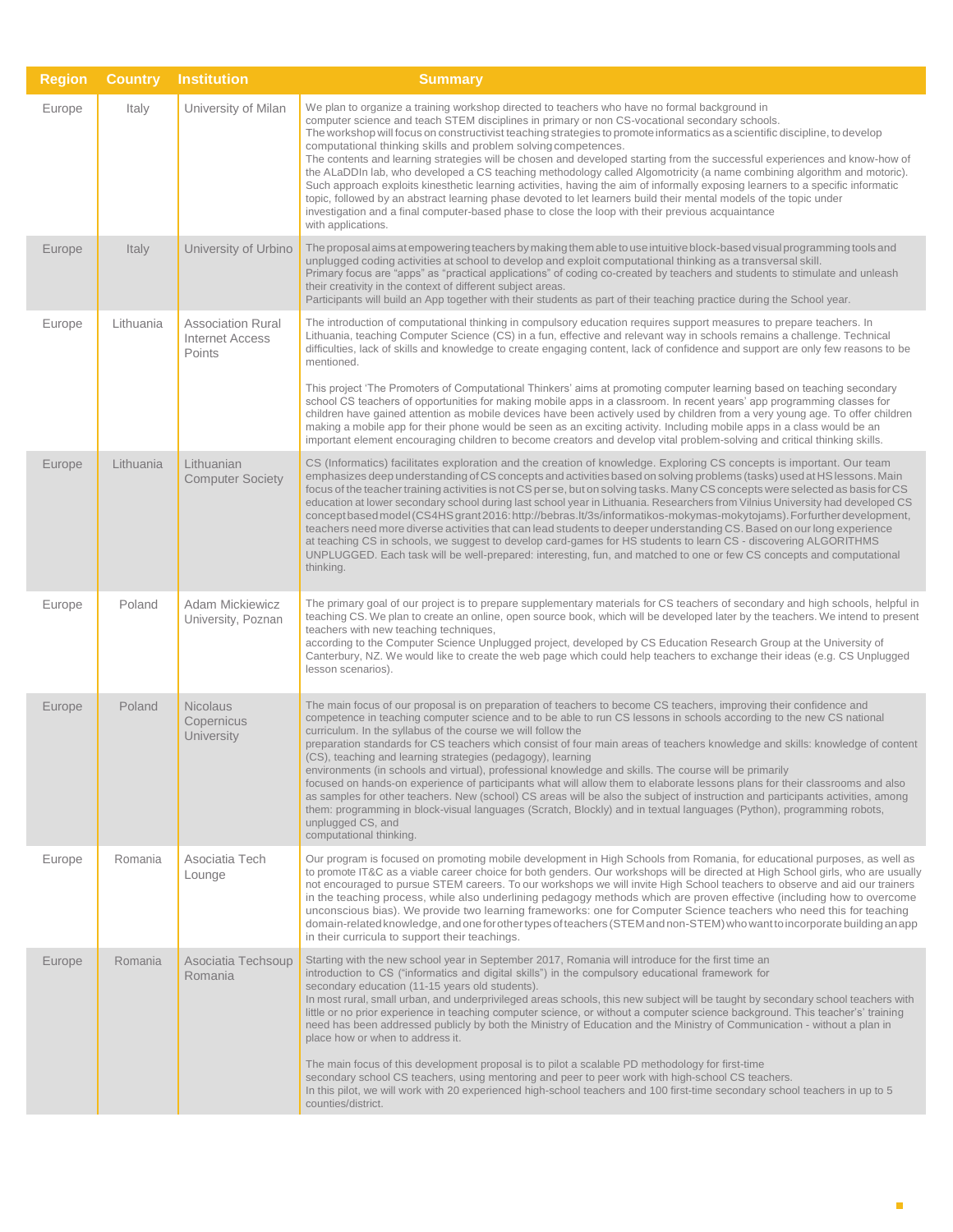| <b>Region</b> | <b>Country</b> | <b>Institution</b>                                           | <b>Summary</b>                                                                                                                                                                                                                                                                                                                                                                                                                                                                                                                                                                                                                                                                                                                                                                                                                                                                                                                                                                                                                                                   |
|---------------|----------------|--------------------------------------------------------------|------------------------------------------------------------------------------------------------------------------------------------------------------------------------------------------------------------------------------------------------------------------------------------------------------------------------------------------------------------------------------------------------------------------------------------------------------------------------------------------------------------------------------------------------------------------------------------------------------------------------------------------------------------------------------------------------------------------------------------------------------------------------------------------------------------------------------------------------------------------------------------------------------------------------------------------------------------------------------------------------------------------------------------------------------------------|
| Europe        | Italy          | University of Milan                                          | We plan to organize a training workshop directed to teachers who have no formal background in<br>computer science and teach STEM disciplines in primary or non CS-vocational secondary schools.<br>The workshop will focus on constructivist teaching strategies to promote informatics as a scientific discipline, to develop<br>computational thinking skills and problem solving competences.<br>The contents and learning strategies will be chosen and developed starting from the successful experiences and know-how of<br>the ALaDDIn lab, who developed a CS teaching methodology called Algomotricity (a name combining algorithm and motoric).<br>Such approach exploits kinesthetic learning activities, having the aim of informally exposing learners to a specific informatic<br>topic, followed by an abstract learning phase devoted to let learners build their mental models of the topic under<br>investigation and a final computer-based phase to close the loop with their previous acquaintance<br>with applications.                    |
| Europe        | Italy          | University of Urbino                                         | The proposal aims at empowering teachers by making them able to use intuitive block-based visual programming tools and<br>unplugged coding activities at school to develop and exploit computational thinking as a transversal skill.<br>Primary focus are "apps" as "practical applications" of coding co-created by teachers and students to stimulate and unleash<br>their creativity in the context of different subject areas.<br>Participants will build an App together with their students as part of their teaching practice during the School year.                                                                                                                                                                                                                                                                                                                                                                                                                                                                                                    |
| Europe        | Lithuania      | <b>Association Rural</b><br><b>Internet Access</b><br>Points | The introduction of computational thinking in compulsory education requires support measures to prepare teachers. In<br>Lithuania, teaching Computer Science (CS) in a fun, effective and relevant way in schools remains a challenge. Technical<br>difficulties, lack of skills and knowledge to create engaging content, lack of confidence and support are only few reasons to be<br>mentioned.<br>This project 'The Promoters of Computational Thinkers' aims at promoting computer learning based on teaching secondary<br>school CS teachers of opportunities for making mobile apps in a classroom. In recent years' app programming classes for                                                                                                                                                                                                                                                                                                                                                                                                          |
|               |                |                                                              | children have gained attention as mobile devices have been actively used by children from a very young age. To offer children<br>making a mobile app for their phone would be seen as an exciting activity. Including mobile apps in a class would be an<br>important element encouraging children to become creators and develop vital problem-solving and critical thinking skills.                                                                                                                                                                                                                                                                                                                                                                                                                                                                                                                                                                                                                                                                            |
| Europe        | Lithuania      | Lithuanian<br><b>Computer Society</b>                        | CS (Informatics) facilitates exploration and the creation of knowledge. Exploring CS concepts is important. Our team<br>emphasizes deep understanding of CS concepts and activities based on solving problems (tasks) used at HS lessons. Main<br>focus of the teacher training activities is not CS per se, but on solving tasks. Many CS concepts were selected as basis for CS<br>education at lower secondary school during last school year in Lithuania. Researchers from Vilnius University had developed CS<br>concept based model (CS4HS grant 2016: http://bebras.lt/3s/informatikos-mokymas-mokytojams). Forfurther development,<br>teachers need more diverse activities that can lead students to deeper understanding CS. Based on our long experience<br>at teaching CS in schools, we suggest to develop card-games for HS students to learn CS - discovering ALGORITHMS<br>UNPLUGGED. Each task will be well-prepared: interesting, fun, and matched to one or few CS concepts and computational<br>thinking.                                   |
| Europe        | Poland         | <b>Adam Mickiewicz</b><br>University, Poznan                 | The primary goal of our project is to prepare supplementary materials for CS teachers of secondary and high schools, helpful in<br>teaching CS. We plan to create an online, open source book, which will be developed later by the teachers. We intend to present<br>teachers with new teaching techniques,<br>according to the Computer Science Unplugged project, developed by CS Education Research Group at the University of<br>Canterbury, NZ. We would like to create the web page which could help teachers to exchange their ideas (e.g. CS Unplugged<br>lesson scenarios).                                                                                                                                                                                                                                                                                                                                                                                                                                                                            |
| Europe        | Poland         | <b>Nicolaus</b><br>Copernicus<br>University                  | The main focus of our proposal is on preparation of teachers to become CS teachers, improving their confidence and<br>competence in teaching computer science and to be able to run CS lessons in schools according to the new CS national<br>curriculum. In the syllabus of the course we will follow the<br>preparation standards for CS teachers which consist of four main areas of teachers knowledge and skills: knowledge of content<br>(CS), teaching and learning strategies (pedagogy), learning<br>environments (in schools and virtual), professional knowledge and skills. The course will be primarily<br>focused on hands-on experience of participants what will allow them to elaborate lessons plans for their classrooms and also<br>as samples for other teachers. New (school) CS areas will be also the subject of instruction and participants activities, among<br>them: programming in block-visual languages (Scratch, Blockly) and in textual languages (Python), programming robots,<br>unplugged CS, and<br>computational thinking. |
| Europe        | Romania        | Asociatia Tech<br>Lounge                                     | Our program is focused on promoting mobile development in High Schools from Romania, for educational purposes, as well as<br>to promote IT&C as a viable career choice for both genders. Our workshops will be directed at High School girls, who are usually<br>not encouraged to pursue STEM careers. To our workshops we will invite High School teachers to observe and aid our trainers<br>in the teaching process, while also underlining pedagogy methods which are proven effective (including how to overcome<br>unconscious bias). We provide two learning frameworks: one for Computer Science teachers who need this for teaching<br>domain-related knowledge, and one for other types of teachers (STEM and non-STEM) who want to incorporate building an app<br>in their curricula to support their teachings.                                                                                                                                                                                                                                     |
| Europe        | Romania        | Asociatia Techsoup<br>Romania                                | Starting with the new school year in September 2017, Romania will introduce for the first time an<br>introduction to CS ("informatics and digital skills") in the compulsory educational framework for<br>secondary education (11-15 years old students).<br>In most rural, small urban, and underprivileged areas schools, this new subject will be taught by secondary school teachers with<br>little or no prior experience in teaching computer science, or without a computer science background. This teacher's' training<br>need has been addressed publicly by both the Ministry of Education and the Ministry of Communication - without a plan in<br>place how or when to address it.<br>The main focus of this development proposal is to pilot a scalable PD methodology for first-time<br>secondary school CS teachers, using mentoring and peer to peer work with high-school CS teachers.<br>In this pilot, we will work with 20 experienced high-school teachers and 100 first-time secondary school teachers in up to 5                         |
|               |                |                                                              | counties/district.                                                                                                                                                                                                                                                                                                                                                                                                                                                                                                                                                                                                                                                                                                                                                                                                                                                                                                                                                                                                                                               |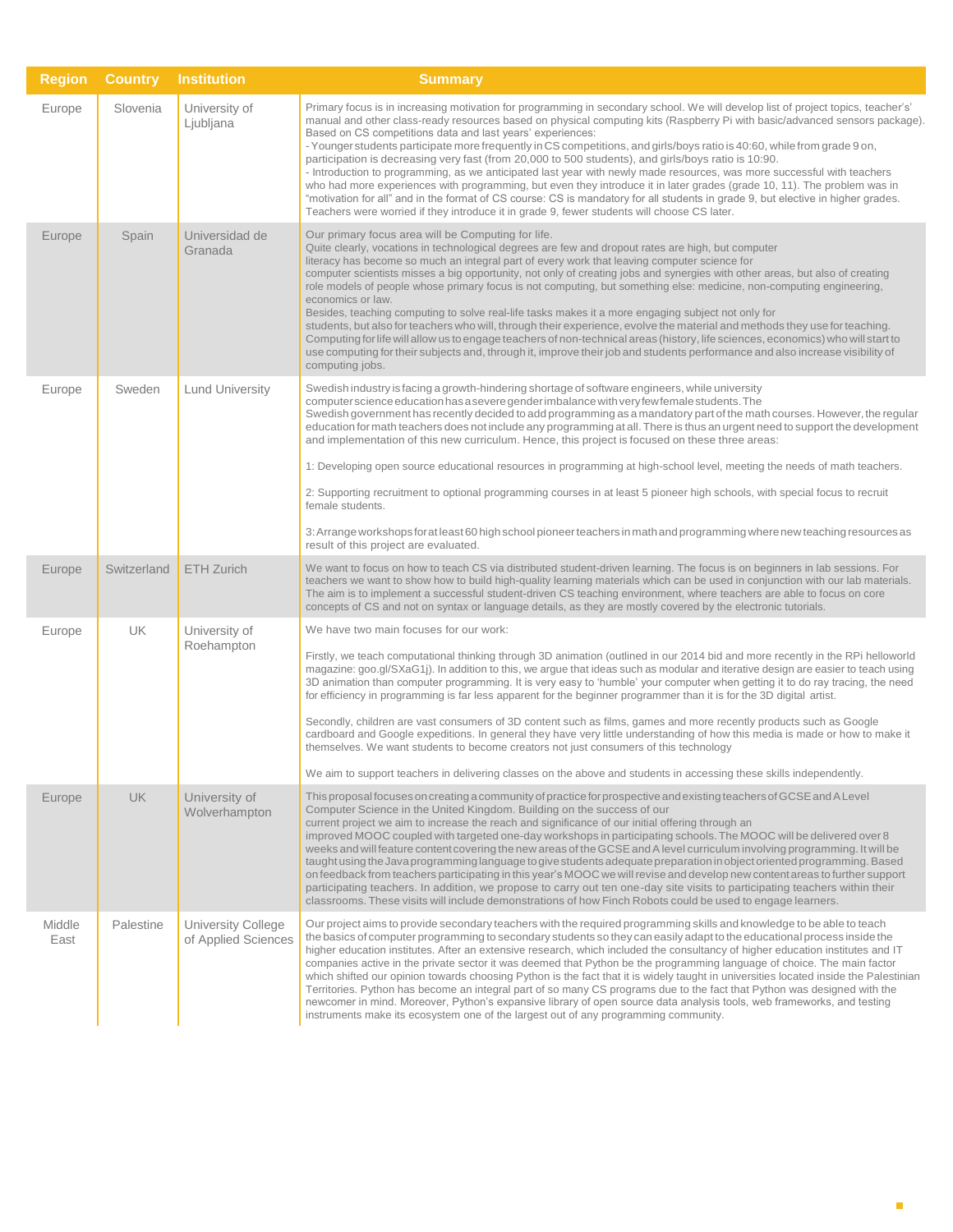| <b>Region</b>  | <b>Country</b> | <b>Institution</b>                        | <b>Summary</b>                                                                                                                                                                                                                                                                                                                                                                                                                                                                                                                                                                                                                                                                                                                                                                                                                                                                                                                                                                                                                                                   |
|----------------|----------------|-------------------------------------------|------------------------------------------------------------------------------------------------------------------------------------------------------------------------------------------------------------------------------------------------------------------------------------------------------------------------------------------------------------------------------------------------------------------------------------------------------------------------------------------------------------------------------------------------------------------------------------------------------------------------------------------------------------------------------------------------------------------------------------------------------------------------------------------------------------------------------------------------------------------------------------------------------------------------------------------------------------------------------------------------------------------------------------------------------------------|
| Europe         | Slovenia       | University of<br>Ljubljana                | Primary focus is in increasing motivation for programming in secondary school. We will develop list of project topics, teacher's'<br>manual and other class-ready resources based on physical computing kits (Raspberry Pi with basic/advanced sensors package).<br>Based on CS competitions data and last years' experiences:<br>- Younger students participate more frequently in CS competitions, and girls/boys ratio is 40:60, while from grade 9 on,<br>participation is decreasing very fast (from 20,000 to 500 students), and girls/boys ratio is 10:90.<br>- Introduction to programming, as we anticipated last year with newly made resources, was more successful with teachers<br>who had more experiences with programming, but even they introduce it in later grades (grade 10, 11). The problem was in<br>"motivation for all" and in the format of CS course: CS is mandatory for all students in grade 9, but elective in higher grades.<br>Teachers were worried if they introduce it in grade 9, fewer students will choose CS later.      |
| Europe         | Spain          | Universidad de<br>Granada                 | Our primary focus area will be Computing for life.<br>Quite clearly, vocations in technological degrees are few and dropout rates are high, but computer<br>literacy has become so much an integral part of every work that leaving computer science for<br>computer scientists misses a big opportunity, not only of creating jobs and synergies with other areas, but also of creating<br>role models of people whose primary focus is not computing, but something else: medicine, non-computing engineering,<br>economics or law.<br>Besides, teaching computing to solve real-life tasks makes it a more engaging subject not only for<br>students, but also for teachers who will, through their experience, evolve the material and methods they use for teaching.<br>Computing for life will allow us to engage teachers of non-technical areas (history, life sciences, economics) who will start to<br>use computing for their subjects and, through it, improve their job and students performance and also increase visibility of<br>computing jobs. |
| Europe         | Sweden         | <b>Lund University</b>                    | Swedish industry is facing a growth-hindering shortage of software engineers, while university<br>computer science education has a severe gender imbalance with very few female students. The<br>Swedish government has recently decided to add programming as a mandatory part of the math courses. However, the regular<br>education for math teachers does not include any programming at all. There is thus an urgent need to support the development<br>and implementation of this new curriculum. Hence, this project is focused on these three areas:<br>1: Developing open source educational resources in programming at high-school level, meeting the needs of math teachers.<br>2: Supporting recruitment to optional programming courses in at least 5 pioneer high schools, with special focus to recruit<br>female students.<br>3: Arrange workshops for at least 60 high school pioneer teachers in math and programming where new teaching resources as<br>result of this project are evaluated.                                                |
| Europe         | Switzerland    | <b>ETH Zurich</b>                         | We want to focus on how to teach CS via distributed student-driven learning. The focus is on beginners in lab sessions. For<br>teachers we want to show how to build high-quality learning materials which can be used in conjunction with our lab materials.<br>The aim is to implement a successful student-driven CS teaching environment, where teachers are able to focus on core<br>concepts of CS and not on syntax or language details, as they are mostly covered by the electronic tutorials.                                                                                                                                                                                                                                                                                                                                                                                                                                                                                                                                                          |
| Europe         | <b>UK</b>      | University of<br>Roehampton               | We have two main focuses for our work:<br>Firstly, we teach computational thinking through 3D animation (outlined in our 2014 bid and more recently in the RPi helloworld<br>magazine: goo.gl/SXaG1j). In addition to this, we argue that ideas such as modular and iterative design are easier to teach using<br>3D animation than computer programming. It is very easy to 'humble' your computer when getting it to do ray tracing, the need<br>for efficiency in programming is far less apparent for the beginner programmer than it is for the 3D digital artist.<br>Secondly, children are vast consumers of 3D content such as films, games and more recently products such as Google<br>cardboard and Google expeditions. In general they have very little understanding of how this media is made or how to make it<br>themselves. We want students to become creators not just consumers of this technology<br>We aim to support teachers in delivering classes on the above and students in accessing these skills independently.                    |
| Europe         | <b>UK</b>      | University of<br>Wolverhampton            | This proposal focuses on creating a community of practice for prospective and existing teachers of GCSE and A Level<br>Computer Science in the United Kingdom. Building on the success of our<br>current project we aim to increase the reach and significance of our initial offering through an<br>improved MOOC coupled with targeted one-day workshops in participating schools. The MOOC will be delivered over 8<br>weeks and will feature content covering the new areas of the GCSE and A level curriculum involving programming. It will be<br>taught using the Java programming language to give students adequate preparation in object oriented programming. Based<br>on feedback from teachers participating in this year's MOOC we will revise and develop new content areas to further support<br>participating teachers. In addition, we propose to carry out ten one-day site visits to participating teachers within their<br>classrooms. These visits will include demonstrations of how Finch Robots could be used to engage learners.       |
| Middle<br>East | Palestine      | University College<br>of Applied Sciences | Our project aims to provide secondary teachers with the required programming skills and knowledge to be able to teach<br>the basics of computer programming to secondary students so they can easily adapt to the educational process inside the<br>higher education institutes. After an extensive research, which included the consultancy of higher education institutes and IT<br>companies active in the private sector it was deemed that Python be the programming language of choice. The main factor<br>which shifted our opinion towards choosing Python is the fact that it is widely taught in universities located inside the Palestinian<br>Territories. Python has become an integral part of so many CS programs due to the fact that Python was designed with the<br>newcomer in mind. Moreover, Python's expansive library of open source data analysis tools, web frameworks, and testing<br>instruments make its ecosystem one of the largest out of any programming community.                                                              |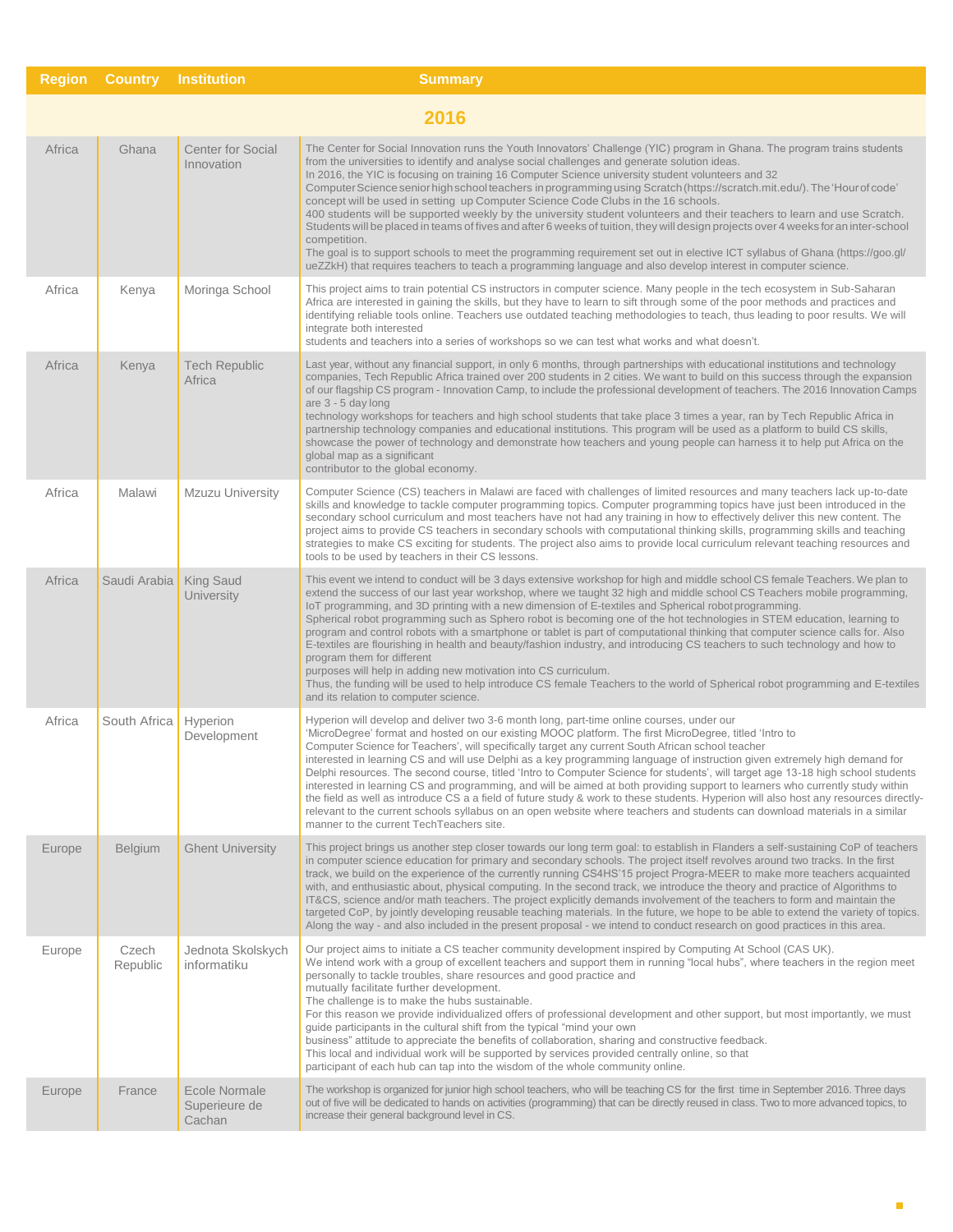| <b>Region</b> | <b>Country</b>    | <b>Institution</b>                       | <b>Summary</b>                                                                                                                                                                                                                                                                                                                                                                                                                                                                                                                                                                                                                                                                                                                                                                                                                                                                                                                                                                                                                                                                     |  |  |  |
|---------------|-------------------|------------------------------------------|------------------------------------------------------------------------------------------------------------------------------------------------------------------------------------------------------------------------------------------------------------------------------------------------------------------------------------------------------------------------------------------------------------------------------------------------------------------------------------------------------------------------------------------------------------------------------------------------------------------------------------------------------------------------------------------------------------------------------------------------------------------------------------------------------------------------------------------------------------------------------------------------------------------------------------------------------------------------------------------------------------------------------------------------------------------------------------|--|--|--|
|               | 2016              |                                          |                                                                                                                                                                                                                                                                                                                                                                                                                                                                                                                                                                                                                                                                                                                                                                                                                                                                                                                                                                                                                                                                                    |  |  |  |
| Africa        | Ghana             | <b>Center for Social</b><br>Innovation   | The Center for Social Innovation runs the Youth Innovators' Challenge (YIC) program in Ghana. The program trains students<br>from the universities to identify and analyse social challenges and generate solution ideas.<br>In 2016, the YIC is focusing on training 16 Computer Science university student volunteers and 32<br>Computer Science senior high school teachers in programming using Scratch (https://scratch.mit.edu/). The 'Hour of code'<br>concept will be used in setting up Computer Science Code Clubs in the 16 schools.<br>400 students will be supported weekly by the university student volunteers and their teachers to learn and use Scratch.<br>Students will be placed in teams of fives and after 6 weeks of tuition, they will design projects over 4 weeks for an inter-school<br>competition.<br>The goal is to support schools to meet the programming requirement set out in elective ICT syllabus of Ghana (https://goo.gl/<br>ueZZkH) that requires teachers to teach a programming language and also develop interest in computer science. |  |  |  |
| Africa        | Kenya             | Moringa School                           | This project aims to train potential CS instructors in computer science. Many people in the tech ecosystem in Sub-Saharan<br>Africa are interested in gaining the skills, but they have to learn to sift through some of the poor methods and practices and<br>identifying reliable tools online. Teachers use outdated teaching methodologies to teach, thus leading to poor results. We will<br>integrate both interested<br>students and teachers into a series of workshops so we can test what works and what doesn't.                                                                                                                                                                                                                                                                                                                                                                                                                                                                                                                                                        |  |  |  |
| Africa        | Kenya             | <b>Tech Republic</b><br>Africa           | Last year, without any financial support, in only 6 months, through partnerships with educational institutions and technology<br>companies, Tech Republic Africa trained over 200 students in 2 cities. We want to build on this success through the expansion<br>of our flagship CS program - Innovation Camp, to include the professional development of teachers. The 2016 Innovation Camps<br>are 3 - 5 day long<br>technology workshops for teachers and high school students that take place 3 times a year, ran by Tech Republic Africa in<br>partnership technology companies and educational institutions. This program will be used as a platform to build CS skills,<br>showcase the power of technology and demonstrate how teachers and young people can harness it to help put Africa on the<br>global map as a significant<br>contributor to the global economy.                                                                                                                                                                                                    |  |  |  |
| Africa        | Malawi            | Mzuzu University                         | Computer Science (CS) teachers in Malawi are faced with challenges of limited resources and many teachers lack up-to-date<br>skills and knowledge to tackle computer programming topics. Computer programming topics have just been introduced in the<br>secondary school curriculum and most teachers have not had any training in how to effectively deliver this new content. The<br>project aims to provide CS teachers in secondary schools with computational thinking skills, programming skills and teaching<br>strategies to make CS exciting for students. The project also aims to provide local curriculum relevant teaching resources and<br>tools to be used by teachers in their CS lessons.                                                                                                                                                                                                                                                                                                                                                                        |  |  |  |
| Africa        | Saudi Arabia      | <b>King Saud</b><br>University           | This event we intend to conduct will be 3 days extensive workshop for high and middle school CS female Teachers. We plan to<br>extend the success of our last year workshop, where we taught 32 high and middle school CS Teachers mobile programming,<br>IoT programming, and 3D printing with a new dimension of E-textiles and Spherical robot programming.<br>Spherical robot programming such as Sphero robot is becoming one of the hot technologies in STEM education, learning to<br>program and control robots with a smartphone or tablet is part of computational thinking that computer science calls for. Also<br>E-textiles are flourishing in health and beauty/fashion industry, and introducing CS teachers to such technology and how to<br>program them for different<br>purposes will help in adding new motivation into CS curriculum.<br>Thus, the funding will be used to help introduce CS female Teachers to the world of Spherical robot programming and E-textiles<br>and its relation to computer science.                                             |  |  |  |
| Africa        | South Africa      | Hyperion<br>Development                  | Hyperion will develop and deliver two 3-6 month long, part-time online courses, under our<br>MicroDegree' format and hosted on our existing MOOC platform. The first MicroDegree, titled 'Intro to'<br>Computer Science for Teachers', will specifically target any current South African school teacher<br>interested in learning CS and will use Delphi as a key programming language of instruction given extremely high demand for<br>Delphi resources. The second course, titled 'Intro to Computer Science for students', will target age 13-18 high school students<br>interested in learning CS and programming, and will be aimed at both providing support to learners who currently study within<br>the field as well as introduce CS a a field of future study & work to these students. Hyperion will also host any resources directly-<br>relevant to the current schools syllabus on an open website where teachers and students can download materials in a similar<br>manner to the current TechTeachers site.                                                    |  |  |  |
| Europe        | <b>Belgium</b>    | <b>Ghent University</b>                  | This project brings us another step closer towards our long term goal: to establish in Flanders a self-sustaining CoP of teachers<br>in computer science education for primary and secondary schools. The project itself revolves around two tracks. In the first<br>track, we build on the experience of the currently running CS4HS'15 project Progra-MEER to make more teachers acquainted<br>with, and enthusiastic about, physical computing. In the second track, we introduce the theory and practice of Algorithms to<br>IT&CS, science and/or math teachers. The project explicitly demands involvement of the teachers to form and maintain the<br>targeted CoP, by jointly developing reusable teaching materials. In the future, we hope to be able to extend the variety of topics.<br>Along the way - and also included in the present proposal - we intend to conduct research on good practices in this area.                                                                                                                                                      |  |  |  |
| Europe        | Czech<br>Republic | Jednota Skolskych<br>informatiku         | Our project aims to initiate a CS teacher community development inspired by Computing At School (CAS UK).<br>We intend work with a group of excellent teachers and support them in running "local hubs", where teachers in the region meet<br>personally to tackle troubles, share resources and good practice and<br>mutually facilitate further development.<br>The challenge is to make the hubs sustainable.<br>For this reason we provide individualized offers of professional development and other support, but most importantly, we must<br>guide participants in the cultural shift from the typical "mind your own<br>business" attitude to appreciate the benefits of collaboration, sharing and constructive feedback.<br>This local and individual work will be supported by services provided centrally online, so that<br>participant of each hub can tap into the wisdom of the whole community online.                                                                                                                                                           |  |  |  |
| Europe        | France            | Ecole Normale<br>Superieure de<br>Cachan | The workshop is organized for junior high school teachers, who will be teaching CS for the first time in September 2016. Three days<br>out of five will be dedicated to hands on activities (programming) that can be directly reused in class. Two to more advanced topics, to<br>increase their general background level in CS.                                                                                                                                                                                                                                                                                                                                                                                                                                                                                                                                                                                                                                                                                                                                                  |  |  |  |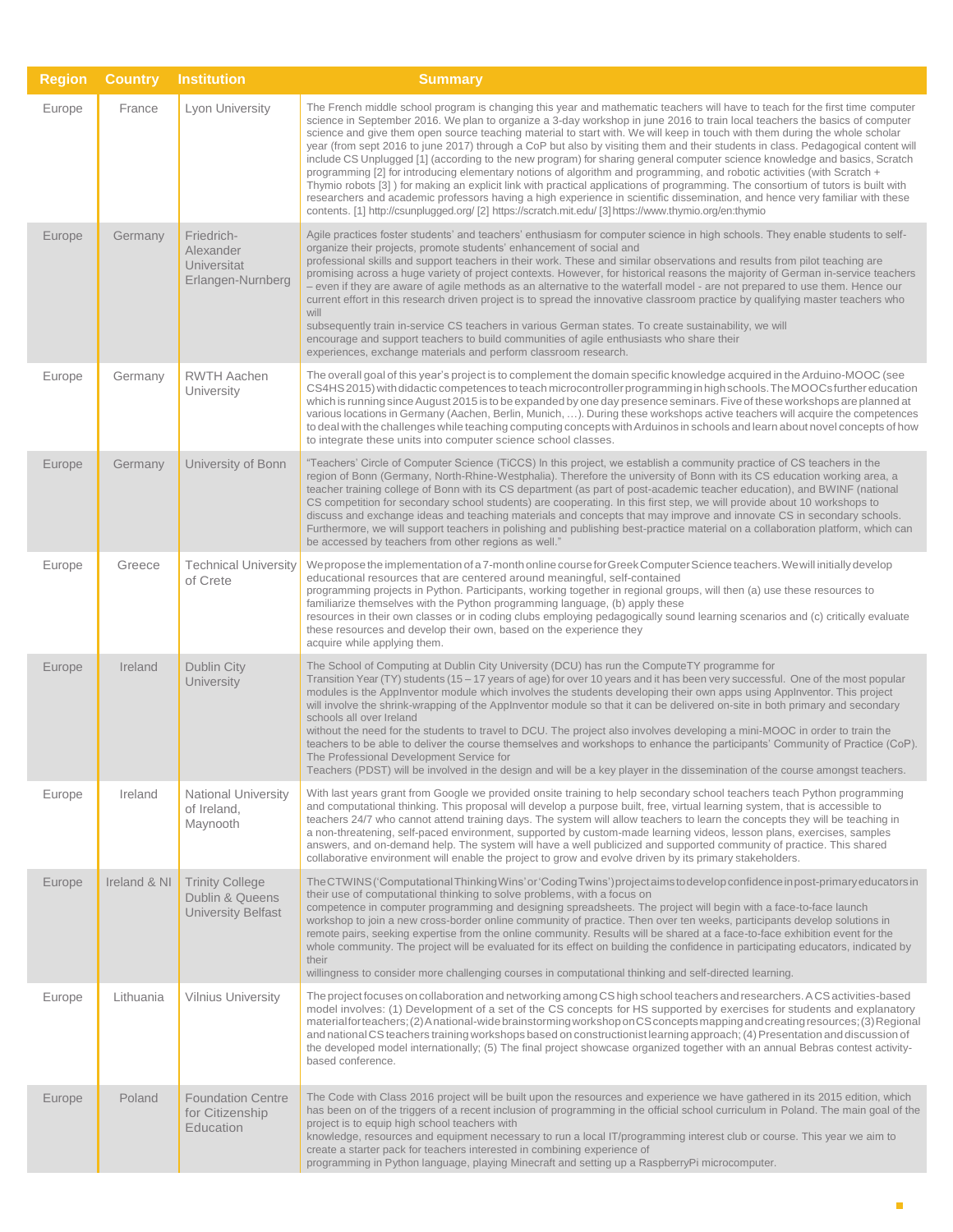| <b>Region</b> | <b>Country</b> | <b>Institution</b>                                                     | <b>Summary</b>                                                                                                                                                                                                                                                                                                                                                                                                                                                                                                                                                                                                                                                                                                                                                                                                                                                                                                                                                                                                                                                                                                                                                           |
|---------------|----------------|------------------------------------------------------------------------|--------------------------------------------------------------------------------------------------------------------------------------------------------------------------------------------------------------------------------------------------------------------------------------------------------------------------------------------------------------------------------------------------------------------------------------------------------------------------------------------------------------------------------------------------------------------------------------------------------------------------------------------------------------------------------------------------------------------------------------------------------------------------------------------------------------------------------------------------------------------------------------------------------------------------------------------------------------------------------------------------------------------------------------------------------------------------------------------------------------------------------------------------------------------------|
| Europe        | France         | Lyon University                                                        | The French middle school program is changing this year and mathematic teachers will have to teach for the first time computer<br>science in September 2016. We plan to organize a 3-day workshop in june 2016 to train local teachers the basics of computer<br>science and give them open source teaching material to start with. We will keep in touch with them during the whole scholar<br>year (from sept 2016 to june 2017) through a CoP but also by visiting them and their students in class. Pedagogical content will<br>include CS Unplugged [1] (according to the new program) for sharing general computer science knowledge and basics, Scratch<br>programming [2] for introducing elementary notions of algorithm and programming, and robotic activities (with Scratch +<br>Thymio robots [3]) for making an explicit link with practical applications of programming. The consortium of tutors is built with<br>researchers and academic professors having a high experience in scientific dissemination, and hence very familiar with these<br>contents. [1] http://csunplugged.org/ [2] https://scratch.mit.edu/ [3] https://www.thymio.org/en:thymio |
| Europe        | Germany        | Friedrich-<br>Alexander<br>Universitat<br>Erlangen-Nurnberg            | Agile practices foster students' and teachers' enthusiasm for computer science in high schools. They enable students to self-<br>organize their projects, promote students' enhancement of social and<br>professional skills and support teachers in their work. These and similar observations and results from pilot teaching are<br>promising across a huge variety of project contexts. However, for historical reasons the majority of German in-service teachers<br>- even if they are aware of agile methods as an alternative to the waterfall model - are not prepared to use them. Hence our<br>current effort in this research driven project is to spread the innovative classroom practice by qualifying master teachers who<br>will<br>subsequently train in-service CS teachers in various German states. To create sustainability, we will<br>encourage and support teachers to build communities of agile enthusiasts who share their<br>experiences, exchange materials and perform classroom research.                                                                                                                                                |
| Europe        | Germany        | <b>RWTH Aachen</b><br>University                                       | The overall goal of this year's project is to complement the domain specific knowledge acquired in the Arduino-MOOC (see<br>CS4HS 2015) with didactic competences to teach microcontroller programming in high schools. The MOOCs further education<br>which is running since August 2015 is to be expanded by one day presence seminars. Five of these workshops are planned at<br>various locations in Germany (Aachen, Berlin, Munich, ). During these workshops active teachers will acquire the competences<br>to deal with the challenges while teaching computing concepts with Arduinos in schools and learn about novel concepts of how<br>to integrate these units into computer science school classes.                                                                                                                                                                                                                                                                                                                                                                                                                                                       |
| Europe        | Germany        | University of Bonn                                                     | "Teachers' Circle of Computer Science (TiCCS) In this project, we establish a community practice of CS teachers in the<br>region of Bonn (Germany, North-Rhine-Westphalia). Therefore the university of Bonn with its CS education working area, a<br>teacher training college of Bonn with its CS department (as part of post-academic teacher education), and BWINF (national<br>CS competition for secondary school students) are cooperating. In this first step, we will provide about 10 workshops to<br>discuss and exchange ideas and teaching materials and concepts that may improve and innovate CS in secondary schools.<br>Furthermore, we will support teachers in polishing and publishing best-practice material on a collaboration platform, which can<br>be accessed by teachers from other regions as well."                                                                                                                                                                                                                                                                                                                                          |
| Europe        | Greece         | <b>Technical University</b><br>of Crete                                | We propose the implementation of a 7-month online course for Greek Computer Science teachers. We will initially develop<br>educational resources that are centered around meaningful, self-contained<br>programming projects in Python. Participants, working together in regional groups, will then (a) use these resources to<br>familiarize themselves with the Python programming language, (b) apply these<br>resources in their own classes or in coding clubs employing pedagogically sound learning scenarios and (c) critically evaluate<br>these resources and develop their own, based on the experience they<br>acquire while applying them.                                                                                                                                                                                                                                                                                                                                                                                                                                                                                                                 |
| Europe        | Ireland        | Dublin City<br><b>University</b>                                       | The School of Computing at Dublin City University (DCU) has run the ComputeTY programme for<br>Transition Year (TY) students (15 – 17 years of age) for over 10 years and it has been very successful. One of the most popular<br>modules is the AppInventor module which involves the students developing their own apps using AppInventor. This project<br>will involve the shrink-wrapping of the AppInventor module so that it can be delivered on-site in both primary and secondary<br>schools all over Ireland<br>without the need for the students to travel to DCU. The project also involves developing a mini-MOOC in order to train the<br>teachers to be able to deliver the course themselves and workshops to enhance the participants' Community of Practice (CoP).<br>The Professional Development Service for<br>Teachers (PDST) will be involved in the design and will be a key player in the dissemination of the course amongst teachers.                                                                                                                                                                                                          |
| Europe        | Ireland        | <b>National University</b><br>of Ireland,<br>Maynooth                  | With last years grant from Google we provided onsite training to help secondary school teachers teach Python programming<br>and computational thinking. This proposal will develop a purpose built, free, virtual learning system, that is accessible to<br>teachers 24/7 who cannot attend training days. The system will allow teachers to learn the concepts they will be teaching in<br>a non-threatening, self-paced environment, supported by custom-made learning videos, lesson plans, exercises, samples<br>answers, and on-demand help. The system will have a well publicized and supported community of practice. This shared<br>collaborative environment will enable the project to grow and evolve driven by its primary stakeholders.                                                                                                                                                                                                                                                                                                                                                                                                                    |
| Europe        | Ireland & NI   | <b>Trinity College</b><br>Dublin & Queens<br><b>University Belfast</b> | The CTWINS ('Computational Thinking Wins' or 'Coding Twins') project aims to develop confidence inpost-primary educators in<br>their use of computational thinking to solve problems, with a focus on<br>competence in computer programming and designing spreadsheets. The project will begin with a face-to-face launch<br>workshop to join a new cross-border online community of practice. Then over ten weeks, participants develop solutions in<br>remote pairs, seeking expertise from the online community. Results will be shared at a face-to-face exhibition event for the<br>whole community. The project will be evaluated for its effect on building the confidence in participating educators, indicated by<br>their<br>willingness to consider more challenging courses in computational thinking and self-directed learning.                                                                                                                                                                                                                                                                                                                            |
| Europe        | Lithuania      | <b>Vilnius University</b>                                              | The project focuses on collaboration and networking among CS high school teachers and researchers. ACS activities-based<br>model involves: (1) Development of a set of the CS concepts for HS supported by exercises for students and explanatory<br>materialforteachers; (2) Anational-wide brainstorming workshop on CS concepts mapping and creating resources; (3) Regional<br>and national CS teachers training workshops based on constructionist learning approach; (4) Presentation and discussion of<br>the developed model internationally; (5) The final project showcase organized together with an annual Bebras contest activity-<br>based conference.                                                                                                                                                                                                                                                                                                                                                                                                                                                                                                     |
| Europe        | Poland         | <b>Foundation Centre</b><br>for Citizenship<br>Education               | The Code with Class 2016 project will be built upon the resources and experience we have gathered in its 2015 edition, which<br>has been on of the triggers of a recent inclusion of programming in the official school curriculum in Poland. The main goal of the<br>project is to equip high school teachers with<br>knowledge, resources and equipment necessary to run a local IT/programming interest club or course. This year we aim to<br>create a starter pack for teachers interested in combining experience of<br>programming in Python language, playing Minecraft and setting up a RaspberryPi microcomputer.                                                                                                                                                                                                                                                                                                                                                                                                                                                                                                                                              |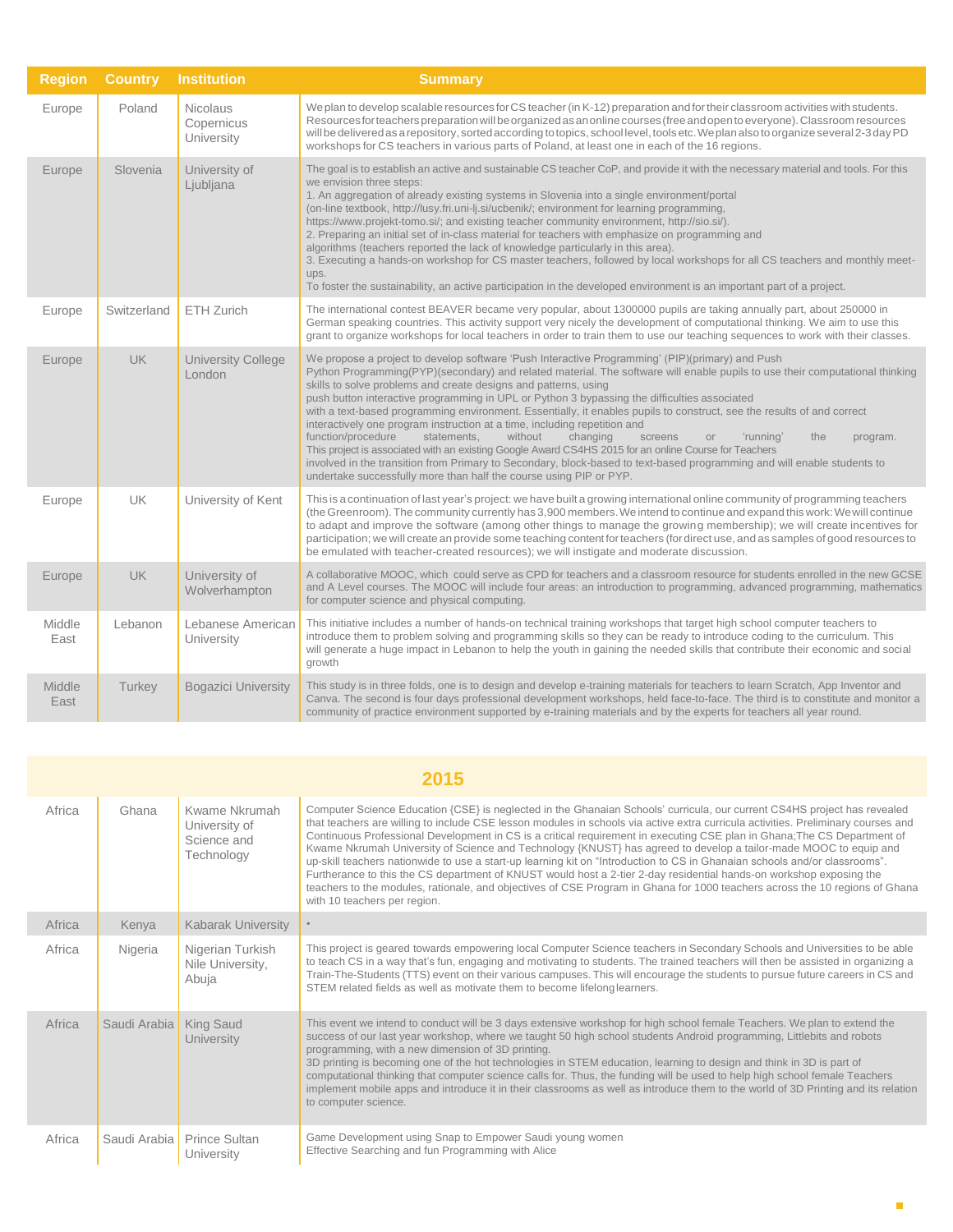| <b>Region</b>         | <b>Country</b> | <b>Institution</b>                          | <b>Summary</b>                                                                                                                                                                                                                                                                                                                                                                                                                                                                                                                                                                                                                                                                                                                                                                                                                                                                                                                                                                                                                   |
|-----------------------|----------------|---------------------------------------------|----------------------------------------------------------------------------------------------------------------------------------------------------------------------------------------------------------------------------------------------------------------------------------------------------------------------------------------------------------------------------------------------------------------------------------------------------------------------------------------------------------------------------------------------------------------------------------------------------------------------------------------------------------------------------------------------------------------------------------------------------------------------------------------------------------------------------------------------------------------------------------------------------------------------------------------------------------------------------------------------------------------------------------|
| Europe                | Poland         | <b>Nicolaus</b><br>Copernicus<br>University | We plan to develop scalable resources for CS teacher (in K-12) preparation and for their classroom activities with students.<br>Resources for teachers preparation will be organized as an online courses (free and open to everyone). Classroom resources<br>will be delivered as a repository, sorted according to topics, school level, tools etc. We plan also to organize several 2-3 day PD<br>workshops for CS teachers in various parts of Poland, at least one in each of the 16 regions.                                                                                                                                                                                                                                                                                                                                                                                                                                                                                                                               |
| Europe                | Slovenia       | University of<br>Ljubljana                  | The goal is to establish an active and sustainable CS teacher CoP, and provide it with the necessary material and tools. For this<br>we envision three steps:<br>1. An aggregation of already existing systems in Slovenia into a single environment/portal<br>(on-line textbook, http://lusy.fri.uni-lj.si/ucbenik/; environment for learning programming,<br>https://www.projekt-tomo.si/; and existing teacher community environment, http://sio.si/).<br>2. Preparing an initial set of in-class material for teachers with emphasize on programming and<br>algorithms (teachers reported the lack of knowledge particularly in this area).<br>3. Executing a hands-on workshop for CS master teachers, followed by local workshops for all CS teachers and monthly meet-<br>ups.<br>To foster the sustainability, an active participation in the developed environment is an important part of a project.                                                                                                                   |
| Europe                | Switzerland    | ETH Zurich                                  | The international contest BEAVER became very popular, about 1300000 pupils are taking annually part, about 250000 in<br>German speaking countries. This activity support very nicely the development of computational thinking. We aim to use this<br>grant to organize workshops for local teachers in order to train them to use our teaching sequences to work with their classes.                                                                                                                                                                                                                                                                                                                                                                                                                                                                                                                                                                                                                                            |
| Europe                | <b>UK</b>      | <b>University College</b><br>London         | We propose a project to develop software 'Push Interactive Programming' (PIP)(primary) and Push<br>Python Programming(PYP)(secondary) and related material. The software will enable pupils to use their computational thinking<br>skills to solve problems and create designs and patterns, using<br>push button interactive programming in UPL or Python 3 bypassing the difficulties associated<br>with a text-based programming environment. Essentially, it enables pupils to construct, see the results of and correct<br>interactively one program instruction at a time, including repetition and<br>function/procedure<br>statements,<br>without<br>changing<br>the<br>screens<br>'running'<br>program.<br>or<br>This project is associated with an existing Google Award CS4HS 2015 for an online Course for Teachers<br>involved in the transition from Primary to Secondary, block-based to text-based programming and will enable students to<br>undertake successfully more than half the course using PIP or PYP. |
| Europe                | UK             | University of Kent                          | This is a continuation of last year's project: we have built a growing international online community of programming teachers<br>(the Greenroom). The community currently has 3,900 members. We intend to continue and expand this work: We will continue<br>to adapt and improve the software (among other things to manage the growing membership); we will create incentives for<br>participation; we will create an provide some teaching content for teachers (for direct use, and as samples of good resources to<br>be emulated with teacher-created resources); we will instigate and moderate discussion.                                                                                                                                                                                                                                                                                                                                                                                                               |
| Europe                | <b>UK</b>      | University of<br>Wolverhampton              | A collaborative MOOC, which could serve as CPD for teachers and a classroom resource for students enrolled in the new GCSE<br>and A Level courses. The MOOC will include four areas: an introduction to programming, advanced programming, mathematics<br>for computer science and physical computing.                                                                                                                                                                                                                                                                                                                                                                                                                                                                                                                                                                                                                                                                                                                           |
| Middle<br>East        | Lebanon        | Lebanese American<br>University             | This initiative includes a number of hands-on technical training workshops that target high school computer teachers to<br>introduce them to problem solving and programming skills so they can be ready to introduce coding to the curriculum. This<br>will generate a huge impact in Lebanon to help the youth in gaining the needed skills that contribute their economic and social<br>growth                                                                                                                                                                                                                                                                                                                                                                                                                                                                                                                                                                                                                                |
| <b>Middle</b><br>East | Turkey         | <b>Bogazici University</b>                  | This study is in three folds, one is to design and develop e-training materials for teachers to learn Scratch, App Inventor and<br>Canva. The second is four days professional development workshops, held face-to-face. The third is to constitute and monitor a<br>community of practice environment supported by e-training materials and by the experts for teachers all year round.                                                                                                                                                                                                                                                                                                                                                                                                                                                                                                                                                                                                                                         |

|        | 2015         |                                                             |                                                                                                                                                                                                                                                                                                                                                                                                                                                                                                                                                                                                                                                                                                                                                                                                                                                                                                                                   |  |  |
|--------|--------------|-------------------------------------------------------------|-----------------------------------------------------------------------------------------------------------------------------------------------------------------------------------------------------------------------------------------------------------------------------------------------------------------------------------------------------------------------------------------------------------------------------------------------------------------------------------------------------------------------------------------------------------------------------------------------------------------------------------------------------------------------------------------------------------------------------------------------------------------------------------------------------------------------------------------------------------------------------------------------------------------------------------|--|--|
| Africa | Ghana        | Kwame Nkrumah<br>University of<br>Science and<br>Technology | Computer Science Education {CSE} is neglected in the Ghanaian Schools' curricula, our current CS4HS project has revealed<br>that teachers are willing to include CSE lesson modules in schools via active extra curricula activities. Preliminary courses and<br>Continuous Professional Development in CS is a critical requirement in executing CSE plan in Ghana; The CS Department of<br>Kwame Nkrumah University of Science and Technology {KNUST} has agreed to develop a tailor-made MOOC to equip and<br>up-skill teachers nationwide to use a start-up learning kit on "Introduction to CS in Ghanaian schools and/or classrooms".<br>Furtherance to this the CS department of KNUST would host a 2-tier 2-day residential hands-on workshop exposing the<br>teachers to the modules, rationale, and objectives of CSE Program in Ghana for 1000 teachers across the 10 regions of Ghana<br>with 10 teachers per region. |  |  |
| Africa | Kenya        | Kabarak University                                          |                                                                                                                                                                                                                                                                                                                                                                                                                                                                                                                                                                                                                                                                                                                                                                                                                                                                                                                                   |  |  |
| Africa | Nigeria      | Nigerian Turkish<br>Nile University,<br>Abuja               | This project is geared towards empowering local Computer Science teachers in Secondary Schools and Universities to be able<br>to teach CS in a way that's fun, engaging and motivating to students. The trained teachers will then be assisted in organizing a<br>Train-The-Students (TTS) event on their various campuses. This will encourage the students to pursue future careers in CS and<br>STEM related fields as well as motivate them to become lifelong learners.                                                                                                                                                                                                                                                                                                                                                                                                                                                      |  |  |
| Africa | Saudi Arabia | <b>King Saud</b><br><b>University</b>                       | This event we intend to conduct will be 3 days extensive workshop for high school female Teachers. We plan to extend the<br>success of our last year workshop, where we taught 50 high school students Android programming, Littlebits and robots<br>programming, with a new dimension of 3D printing.<br>3D printing is becoming one of the hot technologies in STEM education, learning to design and think in 3D is part of<br>computational thinking that computer science calls for. Thus, the funding will be used to help high school female Teachers<br>implement mobile apps and introduce it in their classrooms as well as introduce them to the world of 3D Printing and its relation<br>to computer science.                                                                                                                                                                                                         |  |  |
| Africa |              | Saudi Arabia   Prince Sultan<br>University                  | Game Development using Snap to Empower Saudi young women<br>Effective Searching and fun Programming with Alice                                                                                                                                                                                                                                                                                                                                                                                                                                                                                                                                                                                                                                                                                                                                                                                                                    |  |  |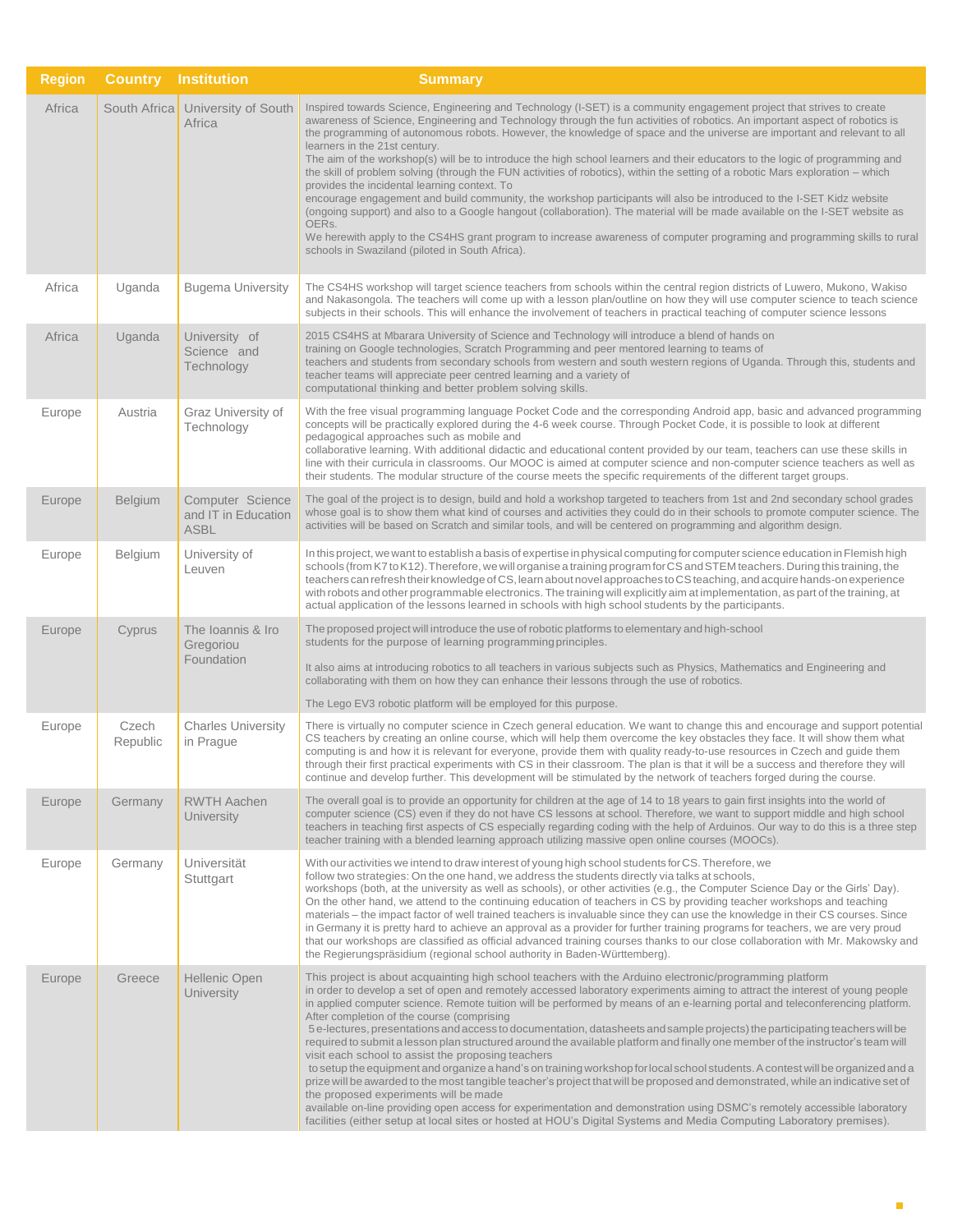| <b>Region</b> | <b>Country</b>    | <b>Institution</b>                              | <b>Summary</b>                                                                                                                                                                                                                                                                                                                                                                                                                                                                                                                                                                                                                                                                                                                                                                                                                                                                                                                                                                                                                                                                                                                                                                                                                                                                                                    |
|---------------|-------------------|-------------------------------------------------|-------------------------------------------------------------------------------------------------------------------------------------------------------------------------------------------------------------------------------------------------------------------------------------------------------------------------------------------------------------------------------------------------------------------------------------------------------------------------------------------------------------------------------------------------------------------------------------------------------------------------------------------------------------------------------------------------------------------------------------------------------------------------------------------------------------------------------------------------------------------------------------------------------------------------------------------------------------------------------------------------------------------------------------------------------------------------------------------------------------------------------------------------------------------------------------------------------------------------------------------------------------------------------------------------------------------|
| Africa        | South Africa      | University of South<br>Africa                   | Inspired towards Science, Engineering and Technology (I-SET) is a community engagement project that strives to create<br>awareness of Science, Engineering and Technology through the fun activities of robotics. An important aspect of robotics is<br>the programming of autonomous robots. However, the knowledge of space and the universe are important and relevant to all<br>learners in the 21st century.<br>The aim of the workshop(s) will be to introduce the high school learners and their educators to the logic of programming and<br>the skill of problem solving (through the FUN activities of robotics), within the setting of a robotic Mars exploration – which<br>provides the incidental learning context. To<br>encourage engagement and build community, the workshop participants will also be introduced to the I-SET Kidz website<br>(ongoing support) and also to a Google hangout (collaboration). The material will be made available on the I-SET website as<br>OERs.<br>We herewith apply to the CS4HS grant program to increase awareness of computer programing and programming skills to rural<br>schools in Swaziland (piloted in South Africa).                                                                                                                             |
| Africa        | Uganda            | <b>Bugema University</b>                        | The CS4HS workshop will target science teachers from schools within the central region districts of Luwero, Mukono, Wakiso<br>and Nakasongola. The teachers will come up with a lesson plan/outline on how they will use computer science to teach science<br>subjects in their schools. This will enhance the involvement of teachers in practical teaching of computer science lessons                                                                                                                                                                                                                                                                                                                                                                                                                                                                                                                                                                                                                                                                                                                                                                                                                                                                                                                          |
| Africa        | Uganda            | University of<br>Science and<br>Technology      | 2015 CS4HS at Mbarara University of Science and Technology will introduce a blend of hands on<br>training on Google technologies, Scratch Programming and peer mentored learning to teams of<br>teachers and students from secondary schools from western and south western regions of Uganda. Through this, students and<br>teacher teams will appreciate peer centred learning and a variety of<br>computational thinking and better problem solving skills.                                                                                                                                                                                                                                                                                                                                                                                                                                                                                                                                                                                                                                                                                                                                                                                                                                                    |
| Europe        | Austria           | Graz University of<br>Technology                | With the free visual programming language Pocket Code and the corresponding Android app, basic and advanced programming<br>concepts will be practically explored during the 4-6 week course. Through Pocket Code, it is possible to look at different<br>pedagogical approaches such as mobile and<br>collaborative learning. With additional didactic and educational content provided by our team, teachers can use these skills in<br>line with their curricula in classrooms. Our MOOC is aimed at computer science and non-computer science teachers as well as<br>their students. The modular structure of the course meets the specific requirements of the different target groups.                                                                                                                                                                                                                                                                                                                                                                                                                                                                                                                                                                                                                       |
| Europe        | <b>Belgium</b>    | Computer Science<br>and IT in Education<br>ASBL | The goal of the project is to design, build and hold a workshop targeted to teachers from 1st and 2nd secondary school grades<br>whose goal is to show them what kind of courses and activities they could do in their schools to promote computer science. The<br>activities will be based on Scratch and similar tools, and will be centered on programming and algorithm design.                                                                                                                                                                                                                                                                                                                                                                                                                                                                                                                                                                                                                                                                                                                                                                                                                                                                                                                               |
| Europe        | Belgium           | University of<br>Leuven                         | In this project, we want to establish a basis of expertise in physical computing for computer science education in Flemish high<br>schools (from K7 to K12). Therefore, we will organise a training program for CS and STEM teachers. During this training, the<br>teachers can refresh their knowledge of CS, learn about novel approaches to CS teaching, and acquire hands-on experience<br>with robots and other programmable electronics. The training will explicitly aim at implementation, as part of the training, at<br>actual application of the lessons learned in schools with high school students by the participants.                                                                                                                                                                                                                                                                                                                                                                                                                                                                                                                                                                                                                                                                             |
| Europe        | Cyprus            | The Ioannis & Iro<br>Gregoriou<br>Foundation    | The proposed project will introduce the use of robotic platforms to elementary and high-school<br>students for the purpose of learning programming principles.<br>It also aims at introducing robotics to all teachers in various subjects such as Physics, Mathematics and Engineering and<br>collaborating with them on how they can enhance their lessons through the use of robotics.<br>The Lego EV3 robotic platform will be employed for this purpose.                                                                                                                                                                                                                                                                                                                                                                                                                                                                                                                                                                                                                                                                                                                                                                                                                                                     |
| Europe        | Czech<br>Republic | <b>Charles University</b><br>in Prague          | There is virtually no computer science in Czech general education. We want to change this and encourage and support potential<br>CS teachers by creating an online course, which will help them overcome the key obstacles they face. It will show them what<br>computing is and how it is relevant for everyone, provide them with quality ready-to-use resources in Czech and guide them<br>through their first practical experiments with CS in their classroom. The plan is that it will be a success and therefore they will<br>continue and develop further. This development will be stimulated by the network of teachers forged during the course.                                                                                                                                                                                                                                                                                                                                                                                                                                                                                                                                                                                                                                                       |
| Europe        | Germany           | <b>RWTH Aachen</b><br>University                | The overall goal is to provide an opportunity for children at the age of 14 to 18 years to gain first insights into the world of<br>computer science (CS) even if they do not have CS lessons at school. Therefore, we want to support middle and high school<br>teachers in teaching first aspects of CS especially regarding coding with the help of Arduinos. Our way to do this is a three step<br>teacher training with a blended learning approach utilizing massive open online courses (MOOCs).                                                                                                                                                                                                                                                                                                                                                                                                                                                                                                                                                                                                                                                                                                                                                                                                           |
| Europe        | Germany           | Universität<br>Stuttgart                        | With our activities we intend to draw interest of young high school students for CS. Therefore, we<br>follow two strategies: On the one hand, we address the students directly via talks at schools,<br>workshops (both, at the university as well as schools), or other activities (e.g., the Computer Science Day or the Girls' Day).<br>On the other hand, we attend to the continuing education of teachers in CS by providing teacher workshops and teaching<br>materials – the impact factor of well trained teachers is invaluable since they can use the knowledge in their CS courses. Since<br>in Germany it is pretty hard to achieve an approval as a provider for further training programs for teachers, we are very proud<br>that our workshops are classified as official advanced training courses thanks to our close collaboration with Mr. Makowsky and<br>the Regierungspräsidium (regional school authority in Baden-Württemberg).                                                                                                                                                                                                                                                                                                                                                          |
| Europe        | Greece            | Hellenic Open<br>University                     | This project is about acquainting high school teachers with the Arduino electronic/programming platform<br>in order to develop a set of open and remotely accessed laboratory experiments aiming to attract the interest of young people<br>in applied computer science. Remote tuition will be performed by means of an e-learning portal and teleconferencing platform.<br>After completion of the course (comprising<br>5 e-lectures, presentations and access to documentation, datasheets and sample projects) the participating teachers will be<br>required to submit a lesson plan structured around the available platform and finally one member of the instructor's team will<br>visit each school to assist the proposing teachers<br>to setup the equipment and organize a hand's on training workshop for local school students. A contest will be organized and a<br>prize will be awarded to the most tangible teacher's project that will be proposed and demonstrated, while an indicative set of<br>the proposed experiments will be made<br>available on-line providing open access for experimentation and demonstration using DSMC's remotely accessible laboratory<br>facilities (either setup at local sites or hosted at HOU's Digital Systems and Media Computing Laboratory premises). |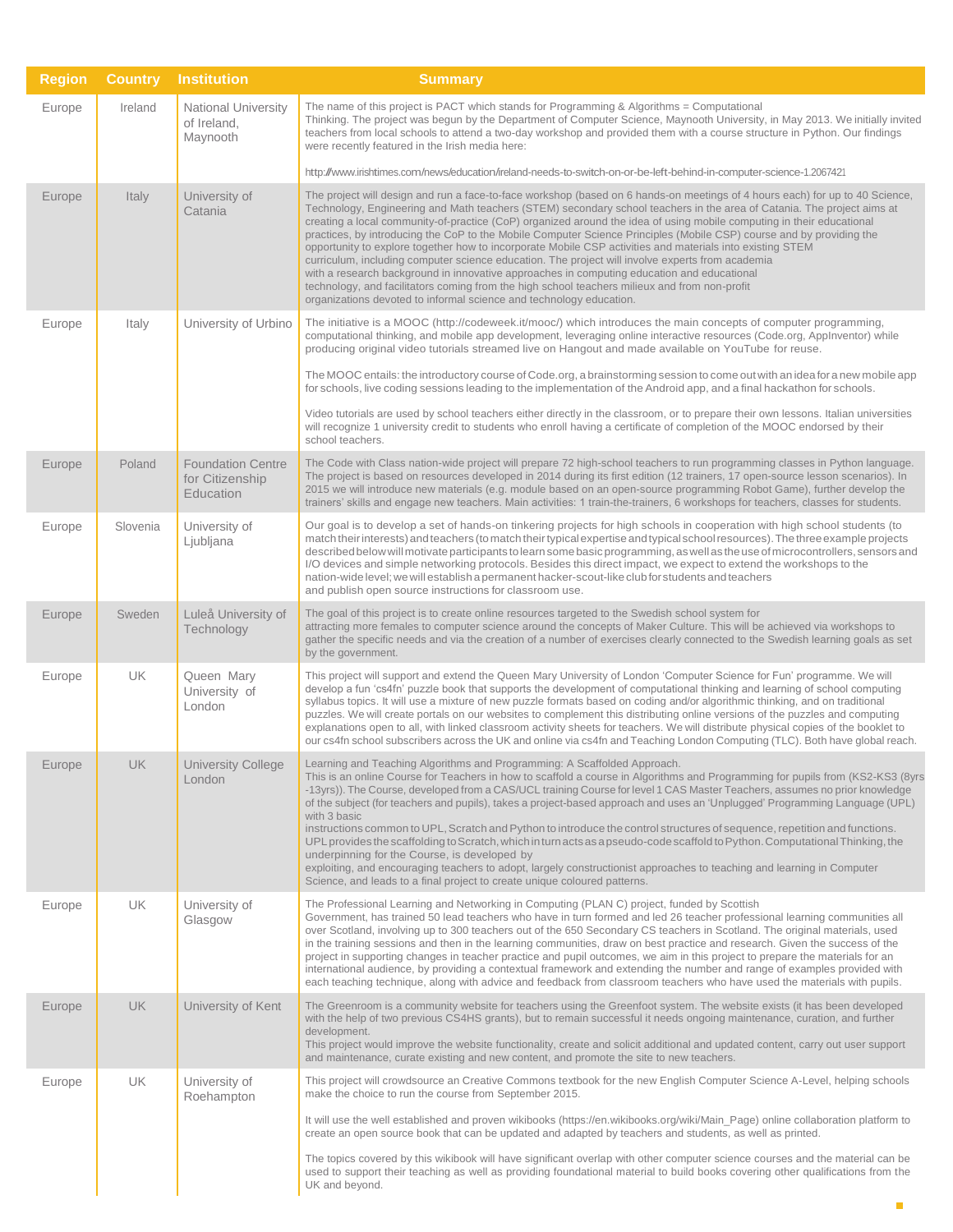| <b>Region</b> | <b>Country</b> | <b>Institution</b>                                       | <b>Summary</b>                                                                                                                                                                                                                                                                                                                                                                                                                                                                                                                                                                                                                                                                                                                                                                                                                                                                                                                                                                                              |
|---------------|----------------|----------------------------------------------------------|-------------------------------------------------------------------------------------------------------------------------------------------------------------------------------------------------------------------------------------------------------------------------------------------------------------------------------------------------------------------------------------------------------------------------------------------------------------------------------------------------------------------------------------------------------------------------------------------------------------------------------------------------------------------------------------------------------------------------------------------------------------------------------------------------------------------------------------------------------------------------------------------------------------------------------------------------------------------------------------------------------------|
| Europe        | Ireland        | National University<br>of Ireland,<br>Maynooth           | The name of this project is PACT which stands for Programming & Algorithms = Computational<br>Thinking. The project was begun by the Department of Computer Science, Maynooth University, in May 2013. We initially invited<br>teachers from local schools to attend a two-day workshop and provided them with a course structure in Python. Our findings<br>were recently featured in the Irish media here:                                                                                                                                                                                                                                                                                                                                                                                                                                                                                                                                                                                                |
|               |                |                                                          | http://www.irishtimes.com/news/education/ireland-needs-to-switch-on-or-be-left-behind-in-computer-science-1.2067421                                                                                                                                                                                                                                                                                                                                                                                                                                                                                                                                                                                                                                                                                                                                                                                                                                                                                         |
| Europe        | Italy          | University of<br>Catania                                 | The project will design and run a face-to-face workshop (based on 6 hands-on meetings of 4 hours each) for up to 40 Science,<br>Technology, Engineering and Math teachers (STEM) secondary school teachers in the area of Catania. The project aims at<br>creating a local community-of-practice (CoP) organized around the idea of using mobile computing in their educational<br>practices, by introducing the CoP to the Mobile Computer Science Principles (Mobile CSP) course and by providing the<br>opportunity to explore together how to incorporate Mobile CSP activities and materials into existing STEM<br>curriculum, including computer science education. The project will involve experts from academia<br>with a research background in innovative approaches in computing education and educational<br>technology, and facilitators coming from the high school teachers milieux and from non-profit<br>organizations devoted to informal science and technology education.              |
| Europe        | Italy          | University of Urbino                                     | The initiative is a MOOC (http://codeweek.it/mooc/) which introduces the main concepts of computer programming,<br>computational thinking, and mobile app development, leveraging online interactive resources (Code.org, AppInventor) while<br>producing original video tutorials streamed live on Hangout and made available on YouTube for reuse.                                                                                                                                                                                                                                                                                                                                                                                                                                                                                                                                                                                                                                                        |
|               |                |                                                          | The MOOC entails: the introductory course of Code.org, a brainstorming session to come out with an idea for a new mobile app<br>for schools, live coding sessions leading to the implementation of the Android app, and a final hackathon for schools.                                                                                                                                                                                                                                                                                                                                                                                                                                                                                                                                                                                                                                                                                                                                                      |
|               |                |                                                          | Video tutorials are used by school teachers either directly in the classroom, or to prepare their own lessons. Italian universities<br>will recognize 1 university credit to students who enroll having a certificate of completion of the MOOC endorsed by their<br>school teachers.                                                                                                                                                                                                                                                                                                                                                                                                                                                                                                                                                                                                                                                                                                                       |
| Europe        | Poland         | <b>Foundation Centre</b><br>for Citizenship<br>Education | The Code with Class nation-wide project will prepare 72 high-school teachers to run programming classes in Python language.<br>The project is based on resources developed in 2014 during its first edition (12 trainers, 17 open-source lesson scenarios). In<br>2015 we will introduce new materials (e.g. module based on an open-source programming Robot Game), further develop the<br>trainers' skills and engage new teachers. Main activities: 1 train-the-trainers, 6 workshops for teachers, classes for students.                                                                                                                                                                                                                                                                                                                                                                                                                                                                                |
| Europe        | Slovenia       | University of<br>Ljubljana                               | Our goal is to develop a set of hands-on tinkering projects for high schools in cooperation with high school students (to<br>match their interests) and teachers (to match their typical expertise and typical school resources). The three example projects<br>described below will motivate participants to learn some basic programming, as well as the use of microcontrollers, sensors and<br>I/O devices and simple networking protocols. Besides this direct impact, we expect to extend the workshops to the<br>nation-wide level; we will establish a permanent hacker-scout-like club for students and teachers<br>and publish open source instructions for classroom use.                                                                                                                                                                                                                                                                                                                        |
| Europe        | Sweden         | Luleå University of<br>Technology                        | The goal of this project is to create online resources targeted to the Swedish school system for<br>attracting more females to computer science around the concepts of Maker Culture. This will be achieved via workshops to<br>gather the specific needs and via the creation of a number of exercises clearly connected to the Swedish learning goals as set<br>by the government.                                                                                                                                                                                                                                                                                                                                                                                                                                                                                                                                                                                                                        |
| Europe        | UK             | Queen Mary<br>University of<br>London                    | This project will support and extend the Queen Mary University of London 'Computer Science for Fun' programme. We will<br>develop a fun 'cs4fn' puzzle book that supports the development of computational thinking and learning of school computing<br>syllabus topics. It will use a mixture of new puzzle formats based on coding and/or algorithmic thinking, and on traditional<br>puzzles. We will create portals on our websites to complement this distributing online versions of the puzzles and computing<br>explanations open to all, with linked classroom activity sheets for teachers. We will distribute physical copies of the booklet to<br>our cs4fn school subscribers across the UK and online via cs4fn and Teaching London Computing (TLC). Both have global reach.                                                                                                                                                                                                                  |
| Europe        | UK             | <b>University College</b><br>London                      | Learning and Teaching Algorithms and Programming: A Scaffolded Approach.<br>This is an online Course for Teachers in how to scaffold a course in Algorithms and Programming for pupils from (KS2-KS3 (8yrs<br>-13yrs)). The Course, developed from a CAS/UCL training Course for level 1 CAS Master Teachers, assumes no prior knowledge<br>of the subject (for teachers and pupils), takes a project-based approach and uses an 'Unplugged' Programming Language (UPL)<br>with 3 basic<br>instructions common to UPL, Scratch and Python to introduce the control structures of sequence, repetition and functions.<br>UPL provides the scaffolding to Scratch, which in turn acts as a pseudo-code scaffold to Python. Computational Thinking, the<br>underpinning for the Course, is developed by<br>exploiting, and encouraging teachers to adopt, largely constructionist approaches to teaching and learning in Computer<br>Science, and leads to a final project to create unique coloured patterns. |
| Europe        | UK             | University of<br>Glasgow                                 | The Professional Learning and Networking in Computing (PLAN C) project, funded by Scottish<br>Government, has trained 50 lead teachers who have in turn formed and led 26 teacher professional learning communities all<br>over Scotland, involving up to 300 teachers out of the 650 Secondary CS teachers in Scotland. The original materials, used<br>in the training sessions and then in the learning communities, draw on best practice and research. Given the success of the<br>project in supporting changes in teacher practice and pupil outcomes, we aim in this project to prepare the materials for an<br>international audience, by providing a contextual framework and extending the number and range of examples provided with<br>each teaching technique, along with advice and feedback from classroom teachers who have used the materials with pupils.                                                                                                                                |
| Europe        | <b>UK</b>      | University of Kent                                       | The Greenroom is a community website for teachers using the Greenfoot system. The website exists (it has been developed<br>with the help of two previous CS4HS grants), but to remain successful it needs ongoing maintenance, curation, and further<br>development.<br>This project would improve the website functionality, create and solicit additional and updated content, carry out user support<br>and maintenance, curate existing and new content, and promote the site to new teachers.                                                                                                                                                                                                                                                                                                                                                                                                                                                                                                          |
| Europe        | <b>UK</b>      | University of<br>Roehampton                              | This project will crowdsource an Creative Commons textbook for the new English Computer Science A-Level, helping schools<br>make the choice to run the course from September 2015.                                                                                                                                                                                                                                                                                                                                                                                                                                                                                                                                                                                                                                                                                                                                                                                                                          |
|               |                |                                                          | It will use the well established and proven wikibooks (https://en.wikibooks.org/wiki/Main_Page) online collaboration platform to<br>create an open source book that can be updated and adapted by teachers and students, as well as printed.                                                                                                                                                                                                                                                                                                                                                                                                                                                                                                                                                                                                                                                                                                                                                                |
|               |                |                                                          | The topics covered by this wikibook will have significant overlap with other computer science courses and the material can be<br>used to support their teaching as well as providing foundational material to build books covering other qualifications from the<br>UK and beyond.                                                                                                                                                                                                                                                                                                                                                                                                                                                                                                                                                                                                                                                                                                                          |
|               |                |                                                          |                                                                                                                                                                                                                                                                                                                                                                                                                                                                                                                                                                                                                                                                                                                                                                                                                                                                                                                                                                                                             |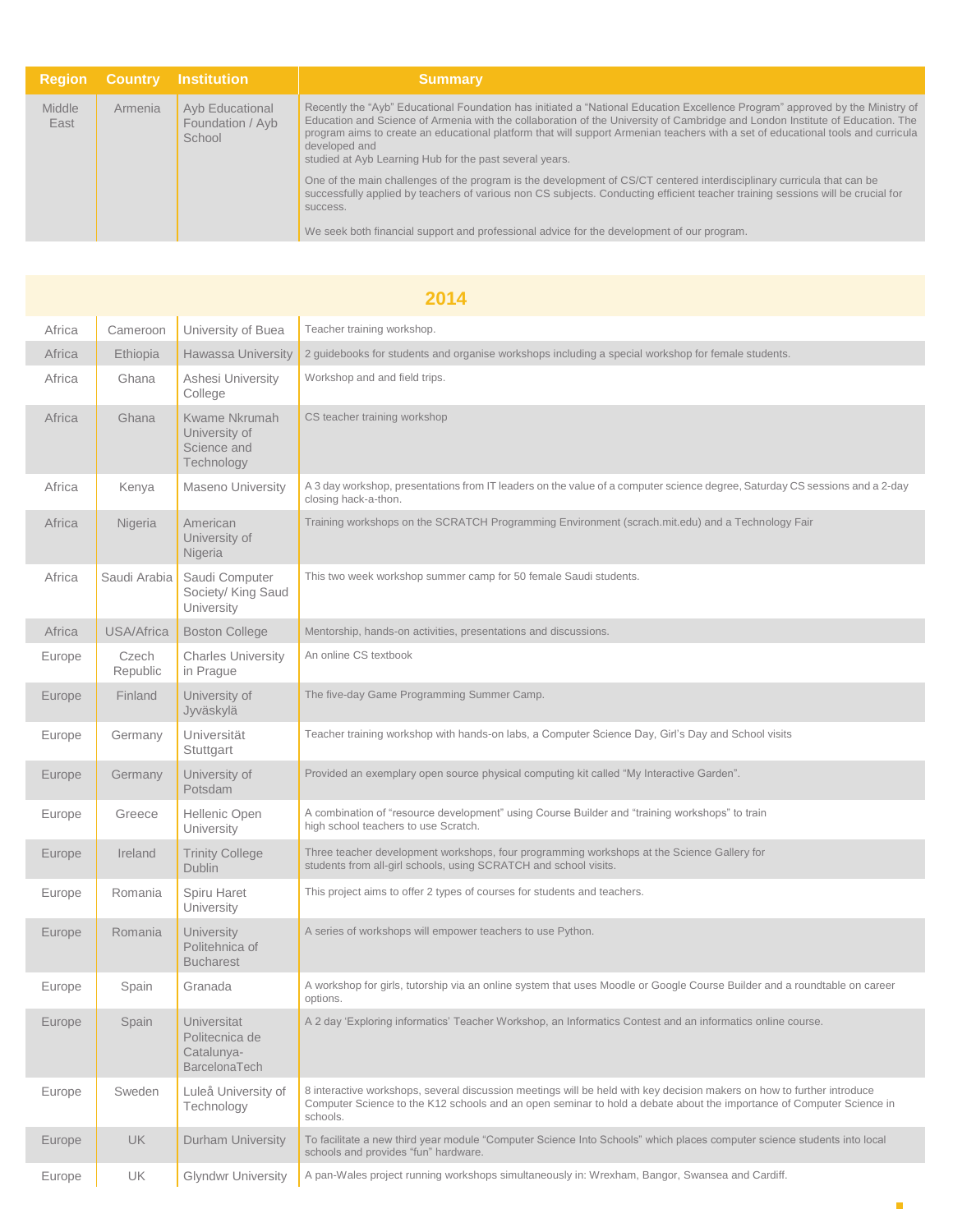|                       |         | <b>Region Country Institution</b>             | <b>Summary</b>                                                                                                                                                                                                                                                                                                                                                                                                                                                                 |
|-----------------------|---------|-----------------------------------------------|--------------------------------------------------------------------------------------------------------------------------------------------------------------------------------------------------------------------------------------------------------------------------------------------------------------------------------------------------------------------------------------------------------------------------------------------------------------------------------|
| <b>Middle</b><br>East | Armenia | Ayb Educational<br>Foundation / Ayb<br>School | Recently the "Ayb" Educational Foundation has initiated a "National Education Excellence Program" approved by the Ministry of<br>Education and Science of Armenia with the collaboration of the University of Cambridge and London Institute of Education. The<br>program aims to create an educational platform that will support Armenian teachers with a set of educational tools and curricula<br>developed and<br>studied at Ayb Learning Hub for the past several years. |
|                       |         |                                               | One of the main challenges of the program is the development of CS/CT centered interdisciplinary curricula that can be<br>successfully applied by teachers of various non CS subjects. Conducting efficient teacher training sessions will be crucial for<br>success.                                                                                                                                                                                                          |
|                       |         |                                               | We seek both financial support and professional advice for the development of our program.                                                                                                                                                                                                                                                                                                                                                                                     |

|        | 2014              |                                                                     |                                                                                                                                                                                                                                                            |  |  |
|--------|-------------------|---------------------------------------------------------------------|------------------------------------------------------------------------------------------------------------------------------------------------------------------------------------------------------------------------------------------------------------|--|--|
| Africa | Cameroon          | University of Buea                                                  | Teacher training workshop.                                                                                                                                                                                                                                 |  |  |
| Africa | Ethiopia          | <b>Hawassa University</b>                                           | 2 guidebooks for students and organise workshops including a special workshop for female students.                                                                                                                                                         |  |  |
| Africa | Ghana             | Ashesi University<br>College                                        | Workshop and and field trips.                                                                                                                                                                                                                              |  |  |
| Africa | Ghana             | Kwame Nkrumah<br>University of<br>Science and<br>Technology         | CS teacher training workshop                                                                                                                                                                                                                               |  |  |
| Africa | Kenya             | <b>Maseno University</b>                                            | A 3 day workshop, presentations from IT leaders on the value of a computer science degree, Saturday CS sessions and a 2-day<br>closing hack-a-thon.                                                                                                        |  |  |
| Africa | Nigeria           | American<br>University of<br>Nigeria                                | Training workshops on the SCRATCH Programming Environment (scrach.mit.edu) and a Technology Fair                                                                                                                                                           |  |  |
| Africa | Saudi Arabia      | Saudi Computer<br>Society/ King Saud<br>University                  | This two week workshop summer camp for 50 female Saudi students.                                                                                                                                                                                           |  |  |
| Africa | USA/Africa        | <b>Boston College</b>                                               | Mentorship, hands-on activities, presentations and discussions.                                                                                                                                                                                            |  |  |
| Europe | Czech<br>Republic | <b>Charles University</b><br>in Prague                              | An online CS textbook                                                                                                                                                                                                                                      |  |  |
| Europe | Finland           | University of<br>Jyväskylä                                          | The five-day Game Programming Summer Camp.                                                                                                                                                                                                                 |  |  |
| Europe | Germany           | Universität<br>Stuttgart                                            | Teacher training workshop with hands-on labs, a Computer Science Day, Girl's Day and School visits                                                                                                                                                         |  |  |
| Europe | Germany           | University of<br>Potsdam                                            | Provided an exemplary open source physical computing kit called "My Interactive Garden".                                                                                                                                                                   |  |  |
| Europe | Greece            | Hellenic Open<br>University                                         | A combination of "resource development" using Course Builder and "training workshops" to train<br>high school teachers to use Scratch.                                                                                                                     |  |  |
| Europe | Ireland           | <b>Trinity College</b><br><b>Dublin</b>                             | Three teacher development workshops, four programming workshops at the Science Gallery for<br>students from all-girl schools, using SCRATCH and school visits.                                                                                             |  |  |
| Europe | Romania           | Spiru Haret<br>University                                           | This project aims to offer 2 types of courses for students and teachers.                                                                                                                                                                                   |  |  |
| Europe | Romania           | <b>University</b><br>Politehnica of<br><b>Bucharest</b>             | A series of workshops will empower teachers to use Python.                                                                                                                                                                                                 |  |  |
| Europe | Spain             | Granada                                                             | A workshop for girls, tutorship via an online system that uses Moodle or Google Course Builder and a roundtable on career<br>options.                                                                                                                      |  |  |
| Europe | Spain             | Universitat<br>Politecnica de<br>Catalunya-<br><b>BarcelonaTech</b> | A 2 day 'Exploring informatics' Teacher Workshop, an Informatics Contest and an informatics online course.                                                                                                                                                 |  |  |
| Europe | Sweden            | Luleå University of<br>Technology                                   | 8 interactive workshops, several discussion meetings will be held with key decision makers on how to further introduce<br>Computer Science to the K12 schools and an open seminar to hold a debate about the importance of Computer Science in<br>schools. |  |  |
| Europe | <b>UK</b>         | <b>Durham University</b>                                            | To facilitate a new third year module "Computer Science Into Schools" which places computer science students into local<br>schools and provides "fun" hardware.                                                                                            |  |  |
| Europe | UK                | <b>Glyndwr University</b>                                           | A pan-Wales project running workshops simultaneously in: Wrexham, Bangor, Swansea and Cardiff.                                                                                                                                                             |  |  |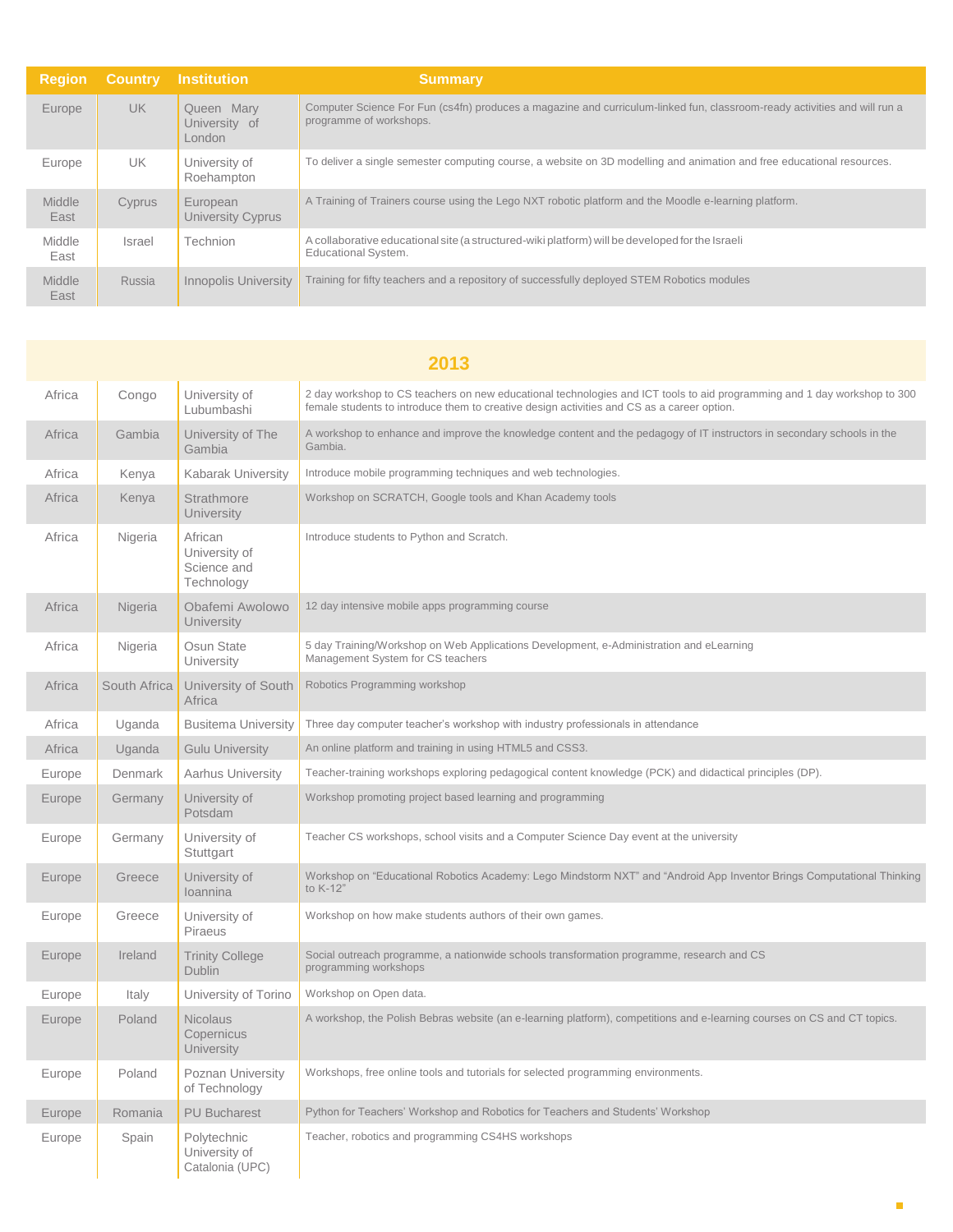| <b>Region</b>  | <b>Country</b> | Institution                           | <b>Summary</b>                                                                                                                                       |
|----------------|----------------|---------------------------------------|------------------------------------------------------------------------------------------------------------------------------------------------------|
| Europe         | <b>UK</b>      | Queen Mary<br>University of<br>London | Computer Science For Fun (cs4fn) produces a magazine and curriculum-linked fun, classroom-ready activities and will run a<br>programme of workshops. |
| Europe         | <b>UK</b>      | University of<br>Roehampton           | To deliver a single semester computing course, a website on 3D modelling and animation and free educational resources.                               |
| Middle<br>East | Cyprus         | European<br>University Cyprus         | A Training of Trainers course using the Lego NXT robotic platform and the Moodle e-learning platform.                                                |
| Middle<br>East | Israel         | Technion                              | A collaborative educational site (a structured-wiki platform) will be developed for the Israeli<br><b>Educational System.</b>                        |
| Middle<br>East | Russia         | <b>Innopolis University</b>           | Training for fifty teachers and a repository of successfully deployed STEM Robotics modules                                                          |

|        | 2013         |                                                       |                                                                                                                                                                                                                        |  |  |
|--------|--------------|-------------------------------------------------------|------------------------------------------------------------------------------------------------------------------------------------------------------------------------------------------------------------------------|--|--|
| Africa | Congo        | University of<br>Lubumbashi                           | 2 day workshop to CS teachers on new educational technologies and ICT tools to aid programming and 1 day workshop to 300<br>female students to introduce them to creative design activities and CS as a career option. |  |  |
| Africa | Gambia       | University of The<br>Gambia                           | A workshop to enhance and improve the knowledge content and the pedagogy of IT instructors in secondary schools in the<br>Gambia.                                                                                      |  |  |
| Africa | Kenya        | <b>Kabarak University</b>                             | Introduce mobile programming techniques and web technologies.                                                                                                                                                          |  |  |
| Africa | Kenya        | Strathmore<br>University                              | Workshop on SCRATCH, Google tools and Khan Academy tools                                                                                                                                                               |  |  |
| Africa | Nigeria      | African<br>University of<br>Science and<br>Technology | Introduce students to Python and Scratch.                                                                                                                                                                              |  |  |
| Africa | Nigeria      | Obafemi Awolowo<br>University                         | 12 day intensive mobile apps programming course                                                                                                                                                                        |  |  |
| Africa | Nigeria      | Osun State<br>University                              | 5 day Training/Workshop on Web Applications Development, e-Administration and eLearning<br>Management System for CS teachers                                                                                           |  |  |
| Africa | South Africa | University of South<br>Africa                         | Robotics Programming workshop                                                                                                                                                                                          |  |  |
| Africa | Uganda       | <b>Busitema University</b>                            | Three day computer teacher's workshop with industry professionals in attendance                                                                                                                                        |  |  |
| Africa | Uganda       | <b>Gulu University</b>                                | An online platform and training in using HTML5 and CSS3.                                                                                                                                                               |  |  |
| Europe | Denmark      | Aarhus University                                     | Teacher-training workshops exploring pedagogical content knowledge (PCK) and didactical principles (DP).                                                                                                               |  |  |
| Europe | Germany      | University of<br>Potsdam                              | Workshop promoting project based learning and programming                                                                                                                                                              |  |  |
| Europe | Germany      | University of<br>Stuttgart                            | Teacher CS workshops, school visits and a Computer Science Day event at the university                                                                                                                                 |  |  |
| Europe | Greece       | University of<br><b>Ioannina</b>                      | Workshop on "Educational Robotics Academy: Lego Mindstorm NXT" and "Android App Inventor Brings Computational Thinking<br>to K-12"                                                                                     |  |  |
| Europe | Greece       | University of<br>Piraeus                              | Workshop on how make students authors of their own games.                                                                                                                                                              |  |  |
| Europe | Ireland      | <b>Trinity College</b><br><b>Dublin</b>               | Social outreach programme, a nationwide schools transformation programme, research and CS<br>programming workshops                                                                                                     |  |  |
| Europe | Italy        | University of Torino                                  | Workshop on Open data.                                                                                                                                                                                                 |  |  |
| Europe | Poland       | <b>Nicolaus</b><br>Copernicus<br>University           | A workshop, the Polish Bebras website (an e-learning platform), competitions and e-learning courses on CS and CT topics.                                                                                               |  |  |
| Europe | Poland       | Poznan University<br>of Technology                    | Workshops, free online tools and tutorials for selected programming environments.                                                                                                                                      |  |  |
| Europe | Romania      | <b>PU Bucharest</b>                                   | Python for Teachers' Workshop and Robotics for Teachers and Students' Workshop                                                                                                                                         |  |  |
| Europe | Spain        | Polytechnic<br>University of<br>Catalonia (UPC)       | Teacher, robotics and programming CS4HS workshops                                                                                                                                                                      |  |  |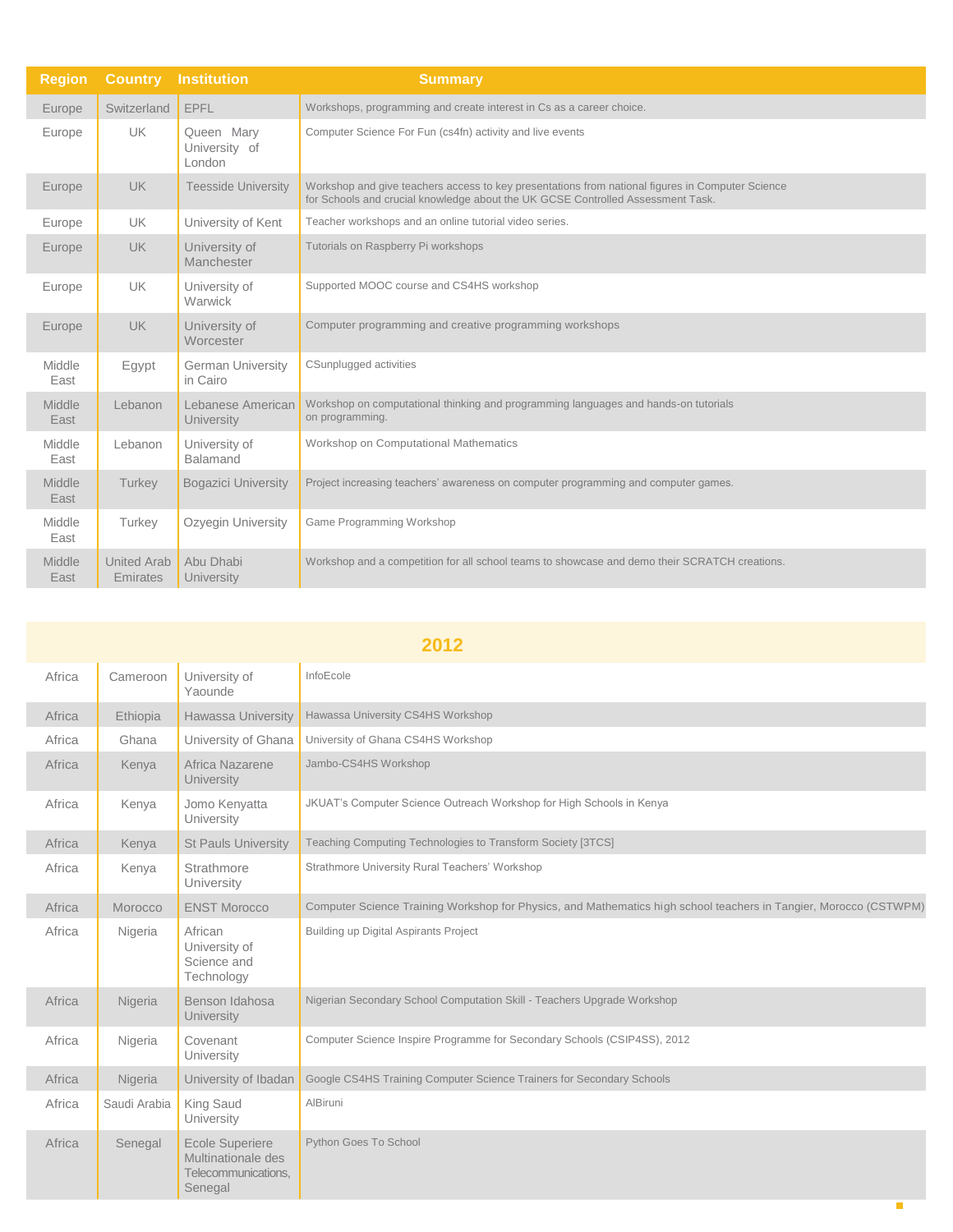| <b>Region</b>  | <b>Country</b>                 | <b>Institution</b>                    | <b>Summary</b>                                                                                                                                                                      |
|----------------|--------------------------------|---------------------------------------|-------------------------------------------------------------------------------------------------------------------------------------------------------------------------------------|
| Europe         | Switzerland                    | EPFL                                  | Workshops, programming and create interest in Cs as a career choice.                                                                                                                |
| Europe         | <b>UK</b>                      | Queen Mary<br>University of<br>London | Computer Science For Fun (cs4fn) activity and live events                                                                                                                           |
| Europe         | <b>UK</b>                      | <b>Teesside University</b>            | Workshop and give teachers access to key presentations from national figures in Computer Science<br>for Schools and crucial knowledge about the UK GCSE Controlled Assessment Task. |
| Europe         | <b>UK</b>                      | University of Kent                    | Teacher workshops and an online tutorial video series.                                                                                                                              |
| Europe         | <b>UK</b>                      | University of<br>Manchester           | Tutorials on Raspberry Pi workshops                                                                                                                                                 |
| Europe         | <b>UK</b>                      | University of<br>Warwick              | Supported MOOC course and CS4HS workshop                                                                                                                                            |
| Europe         | <b>UK</b>                      | University of<br>Worcester            | Computer programming and creative programming workshops                                                                                                                             |
| Middle<br>East | Egypt                          | <b>German University</b><br>in Cairo  | CSunplugged activities                                                                                                                                                              |
| Middle<br>East | Lebanon                        | Lebanese American<br>University       | Workshop on computational thinking and programming languages and hands-on tutorials<br>on programming.                                                                              |
| Middle<br>East | Lebanon                        | University of<br><b>Balamand</b>      | Workshop on Computational Mathematics                                                                                                                                               |
| Middle<br>East | Turkey                         | <b>Bogazici University</b>            | Project increasing teachers' awareness on computer programming and computer games.                                                                                                  |
| Middle<br>East | Turkey                         | Ozyegin University                    | Game Programming Workshop                                                                                                                                                           |
| Middle<br>East | <b>United Arab</b><br>Emirates | Abu Dhabi<br>University               | Workshop and a competition for all school teams to showcase and demo their SCRATCH creations.                                                                                       |

| 2012   |              |                                                                                |                                                                                                                   |  |  |
|--------|--------------|--------------------------------------------------------------------------------|-------------------------------------------------------------------------------------------------------------------|--|--|
| Africa | Cameroon     | University of<br>Yaounde                                                       | InfoEcole                                                                                                         |  |  |
| Africa | Ethiopia     | <b>Hawassa University</b>                                                      | Hawassa University CS4HS Workshop                                                                                 |  |  |
| Africa | Ghana        | University of Ghana                                                            | University of Ghana CS4HS Workshop                                                                                |  |  |
| Africa | Kenya        | Africa Nazarene<br>University                                                  | Jambo-CS4HS Workshop                                                                                              |  |  |
| Africa | Kenya        | Jomo Kenyatta<br>University                                                    | JKUAT's Computer Science Outreach Workshop for High Schools in Kenya                                              |  |  |
| Africa | Kenya        | <b>St Pauls University</b>                                                     | Teaching Computing Technologies to Transform Society [3TCS]                                                       |  |  |
| Africa | Kenya        | Strathmore<br>University                                                       | Strathmore University Rural Teachers' Workshop                                                                    |  |  |
| Africa | Morocco      | <b>ENST Morocco</b>                                                            | Computer Science Training Workshop for Physics, and Mathematics high school teachers in Tangier, Morocco (CSTWPM) |  |  |
| Africa | Nigeria      | African<br>University of<br>Science and<br>Technology                          | Building up Digital Aspirants Project                                                                             |  |  |
| Africa | Nigeria      | Benson Idahosa<br><b>University</b>                                            | Nigerian Secondary School Computation Skill - Teachers Upgrade Workshop                                           |  |  |
| Africa | Nigeria      | Covenant<br>University                                                         | Computer Science Inspire Programme for Secondary Schools (CSIP4SS), 2012                                          |  |  |
| Africa | Nigeria      | University of Ibadan                                                           | Google CS4HS Training Computer Science Trainers for Secondary Schools                                             |  |  |
| Africa | Saudi Arabia | King Saud<br>University                                                        | AlBiruni                                                                                                          |  |  |
| Africa | Senegal      | <b>Ecole Superiere</b><br>Multinationale des<br>Telecommunications.<br>Senegal | Python Goes To School                                                                                             |  |  |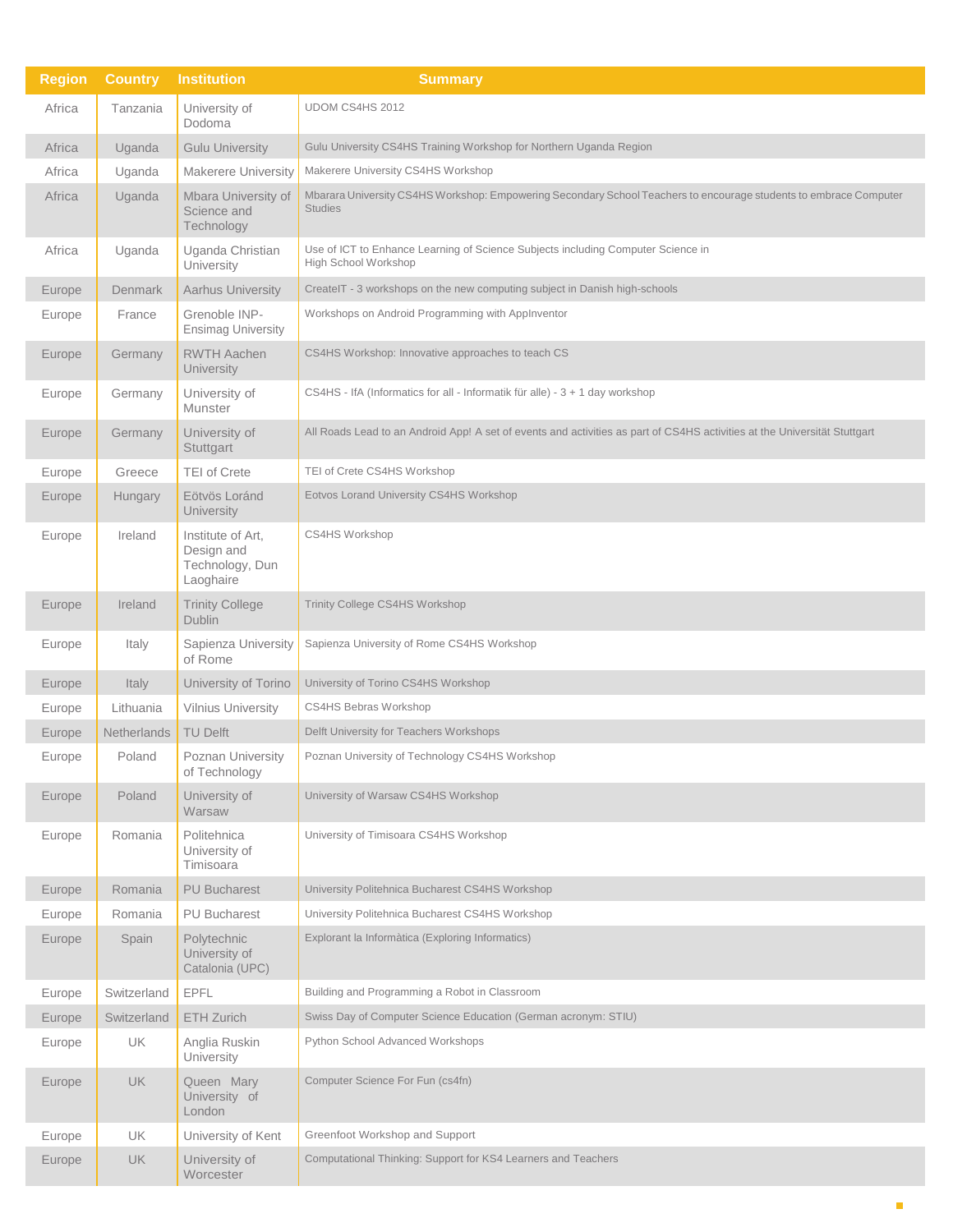| <b>Region</b> | <b>Country</b> | <b>Institution</b>                                              | <b>Summary</b>                                                                                                                      |
|---------------|----------------|-----------------------------------------------------------------|-------------------------------------------------------------------------------------------------------------------------------------|
| Africa        | Tanzania       | University of<br>Dodoma                                         | UDOM CS4HS 2012                                                                                                                     |
| Africa        | Uganda         | <b>Gulu University</b>                                          | Gulu University CS4HS Training Workshop for Northern Uganda Region                                                                  |
| Africa        | Uganda         | Makerere University                                             | Makerere University CS4HS Workshop                                                                                                  |
| Africa        | Uganda         | Mbara University of<br>Science and<br>Technology                | Mbarara University CS4HS Workshop: Empowering Secondary School Teachers to encourage students to embrace Computer<br><b>Studies</b> |
| Africa        | Uganda         | Uganda Christian<br>University                                  | Use of ICT to Enhance Learning of Science Subjects including Computer Science in<br>High School Workshop                            |
| Europe        | Denmark        | <b>Aarhus University</b>                                        | CreateIT - 3 workshops on the new computing subject in Danish high-schools                                                          |
| Europe        | France         | Grenoble INP-<br><b>Ensimag University</b>                      | Workshops on Android Programming with AppInventor                                                                                   |
| Europe        | Germany        | <b>RWTH Aachen</b><br>University                                | CS4HS Workshop: Innovative approaches to teach CS                                                                                   |
| Europe        | Germany        | University of<br>Munster                                        | CS4HS - IfA (Informatics for all - Informatik für alle) - 3 + 1 day workshop                                                        |
| Europe        | Germany        | University of<br>Stuttgart                                      | All Roads Lead to an Android App! A set of events and activities as part of CS4HS activities at the Universität Stuttgart           |
| Europe        | Greece         | <b>TEI of Crete</b>                                             | TEI of Crete CS4HS Workshop                                                                                                         |
| Europe        | Hungary        | Eötvös Loránd<br>University                                     | Eotvos Lorand University CS4HS Workshop                                                                                             |
| Europe        | Ireland        | Institute of Art.<br>Design and<br>Technology, Dun<br>Laoghaire | CS4HS Workshop                                                                                                                      |
| Europe        | Ireland        | <b>Trinity College</b><br><b>Dublin</b>                         | Trinity College CS4HS Workshop                                                                                                      |
| Europe        | Italy          | Sapienza University<br>of Rome                                  | Sapienza University of Rome CS4HS Workshop                                                                                          |
| Europe        | Italy          | University of Torino                                            | University of Torino CS4HS Workshop                                                                                                 |
| Europe        | Lithuania      | <b>Vilnius University</b>                                       | CS4HS Bebras Workshop                                                                                                               |
| Europe        | Netherlands    | <b>TU Delft</b>                                                 | Delft University for Teachers Workshops                                                                                             |
| Europe        | Poland         | Poznan University<br>of Technology                              | Poznan University of Technology CS4HS Workshop                                                                                      |
| Europe        | Poland         | University of<br>Warsaw                                         | University of Warsaw CS4HS Workshop                                                                                                 |
| Europe        | Romania        | Politehnica<br>University of<br>Timisoara                       | University of Timisoara CS4HS Workshop                                                                                              |
| Europe        | Romania        | <b>PU Bucharest</b>                                             | University Politehnica Bucharest CS4HS Workshop                                                                                     |
| Europe        | Romania        | <b>PU Bucharest</b>                                             | University Politehnica Bucharest CS4HS Workshop                                                                                     |
| Europe        | Spain          | Polytechnic<br>University of<br>Catalonia (UPC)                 | Explorant la Informàtica (Exploring Informatics)                                                                                    |
| Europe        | Switzerland    | <b>EPFL</b>                                                     | Building and Programming a Robot in Classroom                                                                                       |
| Europe        | Switzerland    | ETH Zurich                                                      | Swiss Day of Computer Science Education (German acronym: STIU)                                                                      |
| Europe        | UK             | Anglia Ruskin<br>University                                     | Python School Advanced Workshops                                                                                                    |
| Europe        | <b>UK</b>      | Queen Mary<br>University of<br>London                           | Computer Science For Fun (cs4fn)                                                                                                    |
| Europe        | UK.            | University of Kent                                              | Greenfoot Workshop and Support                                                                                                      |
| Europe        | UK             | University of<br>Worcester                                      | Computational Thinking: Support for KS4 Learners and Teachers                                                                       |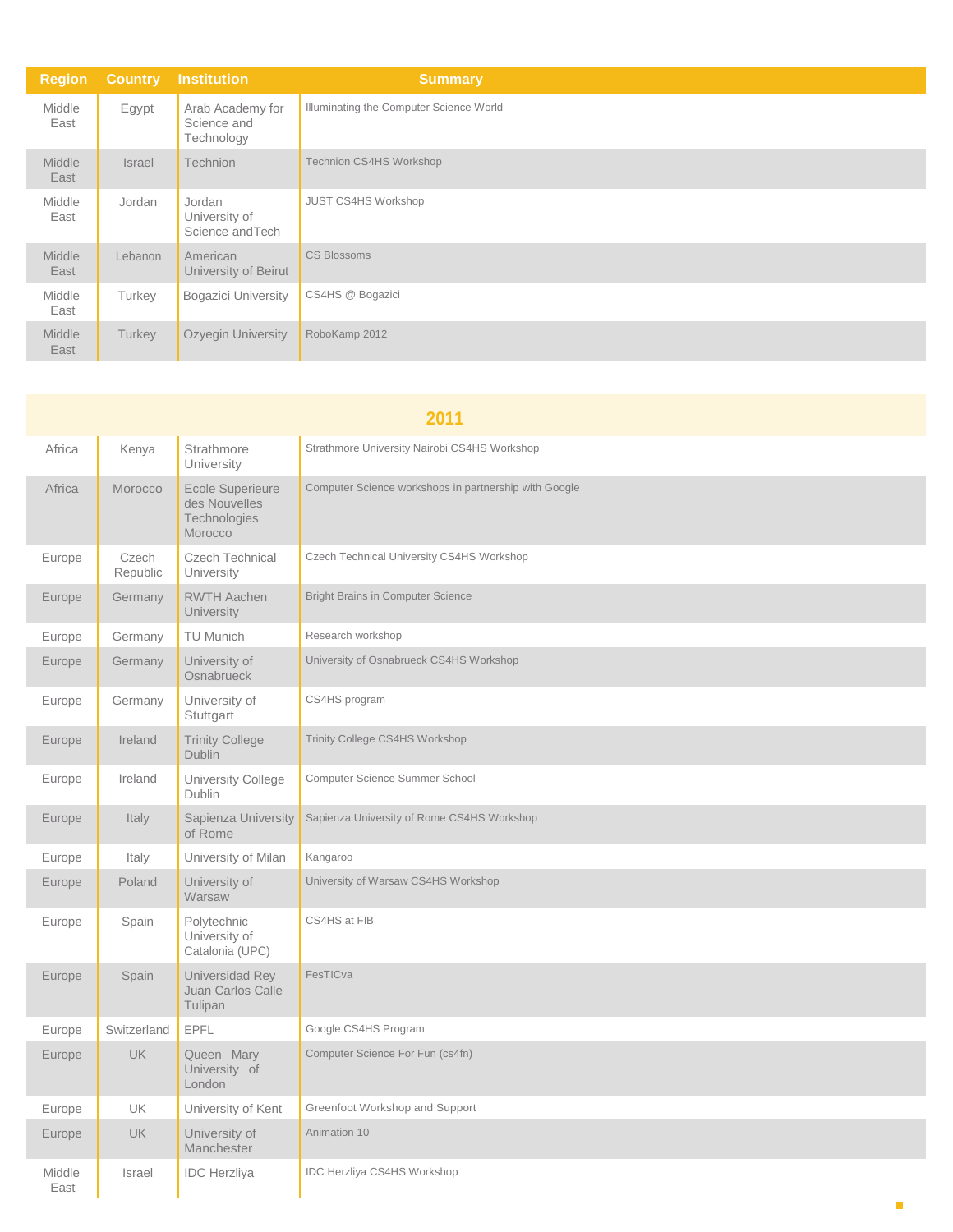| <b>Region</b>         | <b>Country</b> | <b>Institution</b>                            | <b>Summary</b>                          |
|-----------------------|----------------|-----------------------------------------------|-----------------------------------------|
| Middle<br>East        | Egypt          | Arab Academy for<br>Science and<br>Technology | Illuminating the Computer Science World |
| <b>Middle</b><br>East | <b>Israel</b>  | <b>Technion</b>                               | Technion CS4HS Workshop                 |
| Middle<br>East        | Jordan         | Jordan<br>University of<br>Science and Tech   | <b>JUST CS4HS Workshop</b>              |
| Middle<br>East        | Lebanon        | American<br>University of Beirut              | <b>CS Blossoms</b>                      |
| Middle<br>East        | Turkey         | <b>Bogazici University</b>                    | CS4HS @ Bogazici                        |
| <b>Middle</b><br>East | Turkey         | Ozyegin University                            | RoboKamp 2012                           |

| 2011           |                   |                                                                     |                                                       |
|----------------|-------------------|---------------------------------------------------------------------|-------------------------------------------------------|
| Africa         | Kenya             | Strathmore<br>University                                            | Strathmore University Nairobi CS4HS Workshop          |
| Africa         | Morocco           | <b>Ecole Superieure</b><br>des Nouvelles<br>Technologies<br>Morocco | Computer Science workshops in partnership with Google |
| Europe         | Czech<br>Republic | <b>Czech Technical</b><br>University                                | Czech Technical University CS4HS Workshop             |
| Europe         | Germany           | <b>RWTH Aachen</b><br>University                                    | <b>Bright Brains in Computer Science</b>              |
| Europe         | Germany           | <b>TU Munich</b>                                                    | Research workshop                                     |
| Europe         | Germany           | University of<br>Osnabrueck                                         | University of Osnabrueck CS4HS Workshop               |
| Europe         | Germany           | University of<br>Stuttgart                                          | CS4HS program                                         |
| Europe         | Ireland           | <b>Trinity College</b><br><b>Dublin</b>                             | <b>Trinity College CS4HS Workshop</b>                 |
| Europe         | Ireland           | University College<br>Dublin                                        | Computer Science Summer School                        |
| Europe         | Italy             | Sapienza University<br>of Rome                                      | Sapienza University of Rome CS4HS Workshop            |
| Europe         | Italy             | University of Milan                                                 | Kangaroo                                              |
| Europe         | Poland            | University of<br>Warsaw                                             | University of Warsaw CS4HS Workshop                   |
| Europe         | Spain             | Polytechnic<br>University of<br>Catalonia (UPC)                     | CS4HS at FIB                                          |
| Europe         | Spain             | Universidad Rey<br>Juan Carlos Calle<br>Tulipan                     | FesTICva                                              |
| Europe         | Switzerland       | EPFL                                                                | Google CS4HS Program                                  |
| Europe         | <b>UK</b>         | Queen Mary<br>University of<br>London                               | Computer Science For Fun (cs4fn)                      |
| Europe         | UK                | University of Kent                                                  | Greenfoot Workshop and Support                        |
| Europe         | <b>UK</b>         | University of<br>Manchester                                         | Animation 10                                          |
| Middle<br>East | Israel            | <b>IDC</b> Herzliya                                                 | IDC Herzliya CS4HS Workshop                           |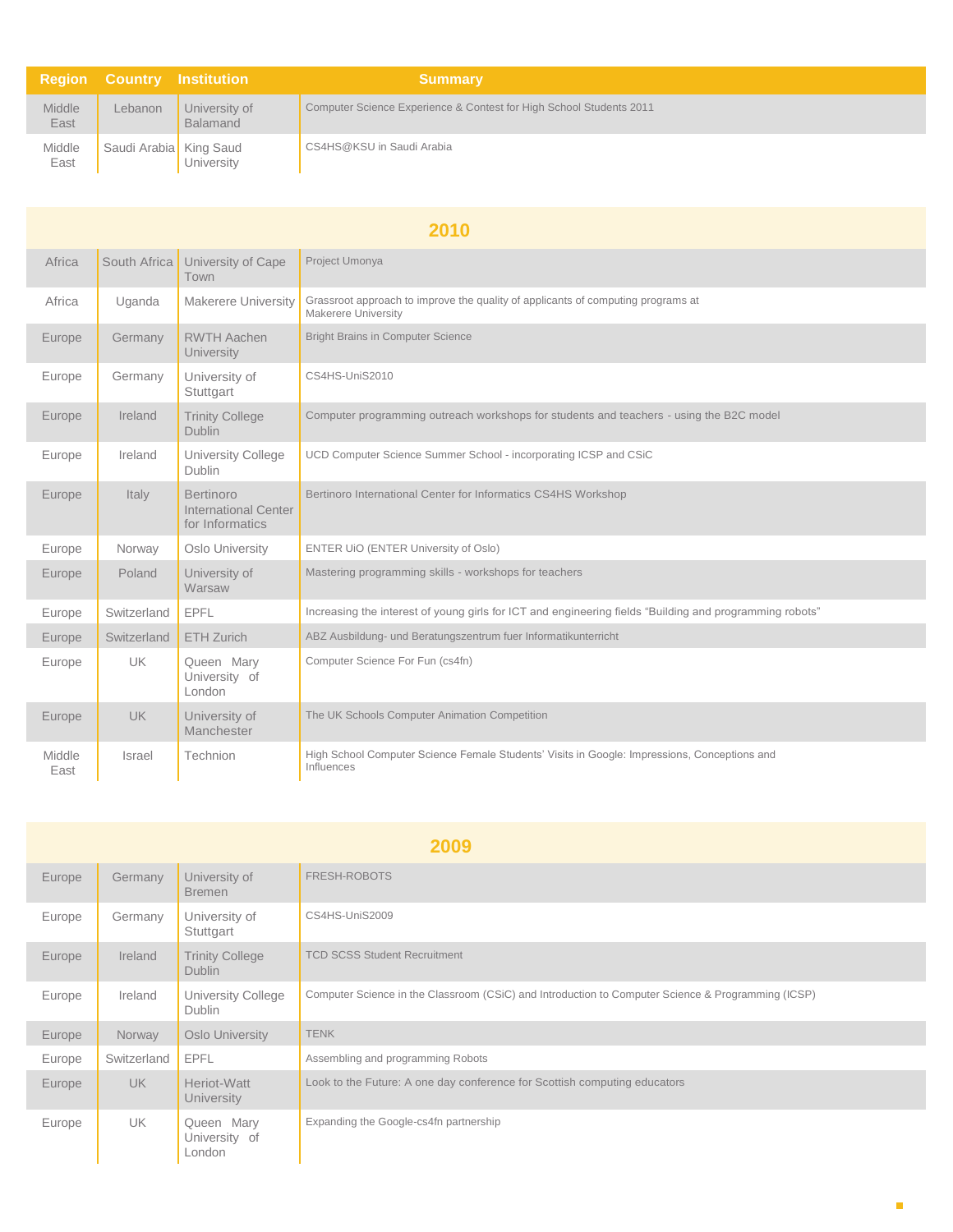|                | <b>Region Country Institution</b> |                                  | <b>Summary</b>                                                      |
|----------------|-----------------------------------|----------------------------------|---------------------------------------------------------------------|
| Middle<br>East | Lebanon                           | University of<br><b>Balamand</b> | Computer Science Experience & Contest for High School Students 2011 |
| Middle<br>East | Saudi Arabia King Saud            | University                       | CS4HS@KSU in Saudi Arabia                                           |

| 2010           |              |                                                      |                                                                                                            |
|----------------|--------------|------------------------------------------------------|------------------------------------------------------------------------------------------------------------|
| Africa         | South Africa | University of Cape<br>Town                           | Project Umonya                                                                                             |
| Africa         | Uganda       | <b>Makerere University</b>                           | Grassroot approach to improve the quality of applicants of computing programs at<br>Makerere University    |
| Europe         | Germany      | <b>RWTH Aachen</b><br>University                     | <b>Bright Brains in Computer Science</b>                                                                   |
| Europe         | Germany      | University of<br>Stuttgart                           | CS4HS-UniS2010                                                                                             |
| Europe         | Ireland      | <b>Trinity College</b><br><b>Dublin</b>              | Computer programming outreach workshops for students and teachers - using the B2C model                    |
| Europe         | Ireland      | <b>University College</b><br>Dublin                  | UCD Computer Science Summer School - incorporating ICSP and CSiC                                           |
| Europe         | Italy        | Bertinoro<br>International Center<br>for Informatics | Bertinoro International Center for Informatics CS4HS Workshop                                              |
| Europe         | Norway       | Oslo University                                      | ENTER UIO (ENTER University of Oslo)                                                                       |
| Europe         | Poland       | University of<br>Warsaw                              | Mastering programming skills - workshops for teachers                                                      |
| Europe         | Switzerland  | <b>EPFL</b>                                          | Increasing the interest of young girls for ICT and engineering fields "Building and programming robots"    |
| Europe         | Switzerland  | ETH Zurich                                           | ABZ Ausbildung- und Beratungszentrum fuer Informatikunterricht                                             |
| Europe         | <b>UK</b>    | Queen Mary<br>University of<br>London                | Computer Science For Fun (cs4fn)                                                                           |
| Europe         | <b>UK</b>    | University of<br>Manchester                          | The UK Schools Computer Animation Competition                                                              |
| Middle<br>East | Israel       | Technion                                             | High School Computer Science Female Students' Visits in Google: Impressions, Conceptions and<br>Influences |

| 2009   |             |                                         |                                                                                                    |
|--------|-------------|-----------------------------------------|----------------------------------------------------------------------------------------------------|
| Europe | Germany     | University of<br><b>Bremen</b>          | FRESH-ROBOTS                                                                                       |
| Europe | Germany     | University of<br>Stuttgart              | CS4HS-UniS2009                                                                                     |
| Europe | Ireland     | <b>Trinity College</b><br><b>Dublin</b> | <b>TCD SCSS Student Recruitment</b>                                                                |
| Europe | Ireland     | University College<br><b>Dublin</b>     | Computer Science in the Classroom (CSiC) and Introduction to Computer Science & Programming (ICSP) |
| Europe | Norway      | Oslo University                         | <b>TENK</b>                                                                                        |
| Europe | Switzerland | EPFL                                    | Assembling and programming Robots                                                                  |
| Europe | UK.         | Heriot-Watt<br>University               | Look to the Future: A one day conference for Scottish computing educators                          |
| Europe | <b>UK</b>   | Queen Mary<br>University of<br>London   | Expanding the Google-cs4fn partnership                                                             |